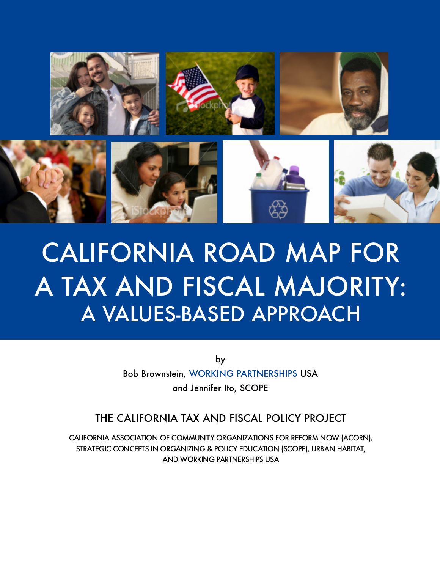

# CALIFORNIA ROAD MAP FOR A TAX AND FISCAL MAJORITY: A VALUES-BASED APPROACH

by Bob Brownstein, WORKING PARTNERSHIPS USA and Jennifer Ito, SCOPE

# THE CALIFORNIA TAX AND FISCAL POLICY PROJECT

CALIFORNIA ASSOCIATION OF COMMUNITY ORGANIZATIONS FOR REFORM NOW (ACORN), STRATEGIC CONCEPTS IN ORGANIZING & POLICY EDUCATION (SCOPE), URBAN HABITAT, AND WORKING PARTNERSHIPS USA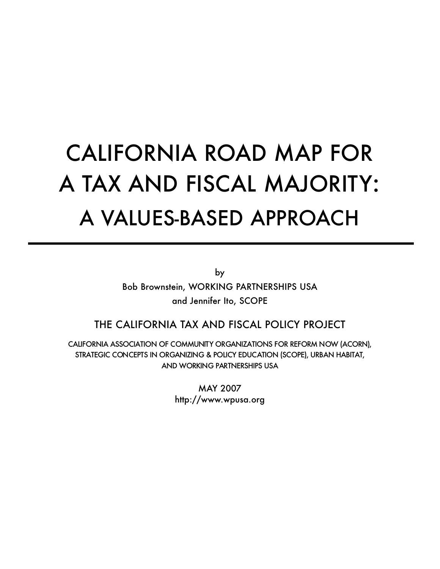# CALIFORNIA ROAD MAP FOR A TAX AND FISCAL MAJORITY: A VALUES-BASED APPROACH

by Bob Brownstein, WORKING PARTNERSHIPS USA and Jennifer Ito, SCOPE

# THE CALIFORNIA TAX AND FISCAL POLICY PROJECT

CALIFORNIA ASSOCIATION OF COMMUNITY ORGANIZATIONS FOR REFORM NOW (ACORN), STRATEGIC CONCEPTS IN ORGANIZING & POLICY EDUCATION (SCOPE), URBAN HABITAT, AND WORKING PARTNERSHIPS USA

> MAY 2007 http://www.wpusa.org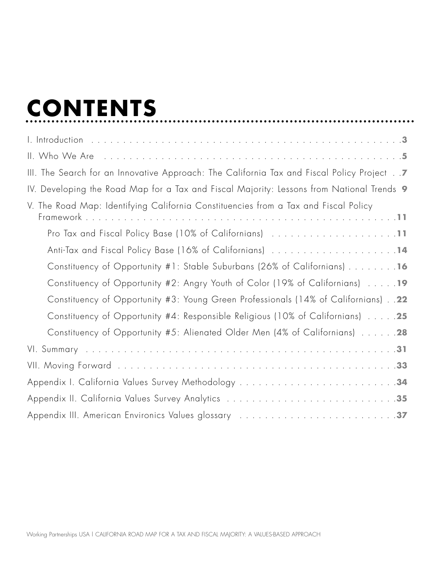# **CONTENTS**

| III. The Search for an Innovative Approach: The California Tax and Fiscal Policy Project 7 |
|--------------------------------------------------------------------------------------------|
| IV. Developing the Road Map for a Tax and Fiscal Majority: Lessons from National Trends 9  |
| V. The Road Map: Identifying California Constituencies from a Tax and Fiscal Policy        |
|                                                                                            |
|                                                                                            |
| Constituency of Opportunity #1: Stable Suburbans (26% of Californians) 16                  |
| Constituency of Opportunity #2: Angry Youth of Color (19% of Californians) 19              |
| Constituency of Opportunity #3: Young Green Professionals (14% of Californians). 22        |
| Constituency of Opportunity #4: Responsible Religious (10% of Californians) 25             |
| Constituency of Opportunity #5: Alienated Older Men (4% of Californians) 28                |
|                                                                                            |
|                                                                                            |
|                                                                                            |
|                                                                                            |
|                                                                                            |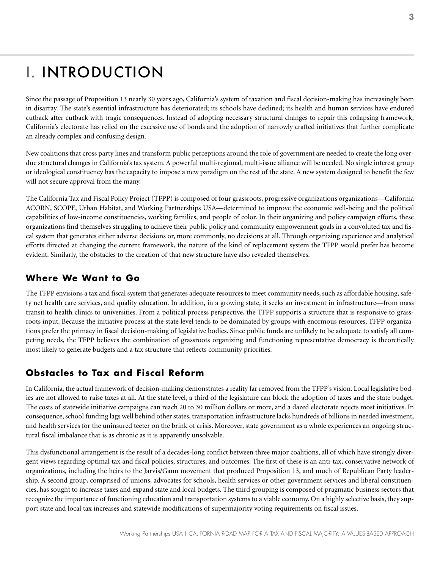# I. INTRODUCTION

Since the passage of Proposition 13 nearly 30 years ago, California's system of taxation and fiscal decision-making has increasingly been in disarray. The state's essential infrastructure has deteriorated; its schools have declined; its health and human services have endured cutback after cutback with tragic consequences. Instead of adopting necessary structural changes to repair this collapsing framework, California's electorate has relied on the excessive use of bonds and the adoption of narrowly crafted initiatives that further complicate an already complex and confusing design.

New coalitions that cross party lines and transform public perceptions around the role of government are needed to create the long overdue structural changes in California's tax system. A powerful multi-regional, multi-issue alliance will be needed. No single interest group or ideological constituency has the capacity to impose a new paradigm on the rest of the state. A new system designed to benefit the few will not secure approval from the many.

The California Tax and Fiscal Policy Project (TFPP) is composed of four grassroots, progressive organizations organizations—California ACORN, SCOPE, Urban Habitat, and Working Partnerships USA—determined to improve the economic well-being and the political capabilities of low-income constituencies, working families, and people of color. In their organizing and policy campaign efforts, these organizations find themselves struggling to achieve their public policy and community empowerment goals in a convoluted tax and fiscal system that generates either adverse decisions or, more commonly, no decisions at all. Through organizing experience and analytical efforts directed at changing the current framework, the nature of the kind of replacement system the TFPP would prefer has become evident. Similarly, the obstacles to the creation of that new structure have also revealed themselves.

### **Where We Want to Go**

The TFPP envisions a tax and fiscal system that generates adequate resources to meet community needs, such as affordable housing, safety net health care services, and quality education. In addition, in a growing state, it seeks an investment in infrastructure—from mass transit to health clinics to universities. From a political process perspective, the TFPP supports a structure that is responsive to grassroots input. Because the initiative process at the state level tends to be dominated by groups with enormous resources, TFPP organizations prefer the primacy in fiscal decision-making of legislative bodies. Since public funds are unlikely to be adequate to satisfy all competing needs, the TFPP believes the combination of grassroots organizing and functioning representative democracy is theoretically most likely to generate budgets and a tax structure that reflects community priorities.

# **Obstacles to Tax and Fiscal Reform**

In California, the actual framework of decision-making demonstrates a reality far removed from the TFPP's vision. Local legislative bodies are not allowed to raise taxes at all. At the state level, a third of the legislature can block the adoption of taxes and the state budget. The costs of statewide initiative campaigns can reach 20 to 30 million dollars or more, and a dazed electorate rejects most initiatives. In consequence, school funding lags well behind other states, transportation infrastructure lacks hundreds of billions in needed investment, and health services for the uninsured teeter on the brink of crisis. Moreover, state government as a whole experiences an ongoing structural fiscal imbalance that is as chronic as it is apparently unsolvable.

This dysfunctional arrangement is the result of a decades-long conflict between three major coalitions, all of which have strongly divergent views regarding optimal tax and fiscal policies, structures, and outcomes. The first of these is an anti-tax, conservative network of organizations, including the heirs to the Jarvis/Gann movement that produced Proposition 13, and much of Republican Party leadership. A second group, comprised of unions, advocates for schools, health services or other government services and liberal constituencies, has sought to increase taxes and expand state and local budgets. The third grouping is composed of pragmatic business sectors that recognize the importance of functioning education and transportation systems to a viable economy. On a highly selective basis, they support state and local tax increases and statewide modifications of supermajority voting requirements on fiscal issues.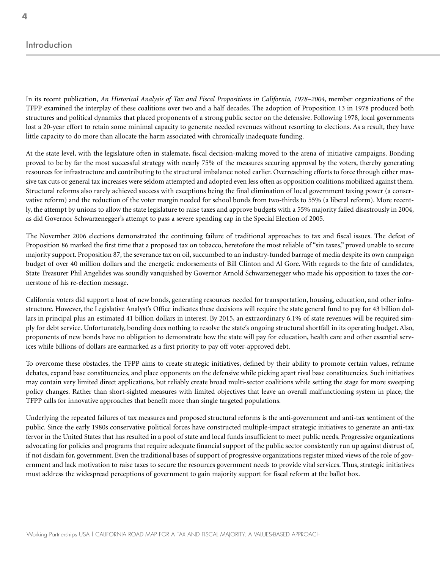#### Introduction

In its recent publication, *An Historical Analysis of Tax and Fiscal Propositions in California, 1978–2004,* member organizations of the TFPP examined the interplay of these coalitions over two and a half decades. The adoption of Proposition 13 in 1978 produced both structures and political dynamics that placed proponents of a strong public sector on the defensive. Following 1978, local governments lost a 20-year effort to retain some minimal capacity to generate needed revenues without resorting to elections. As a result, they have little capacity to do more than allocate the harm associated with chronically inadequate funding.

At the state level, with the legislature often in stalemate, fiscal decision-making moved to the arena of initiative campaigns. Bonding proved to be by far the most successful strategy with nearly 75% of the measures securing approval by the voters, thereby generating resources for infrastructure and contributing to the structural imbalance noted earlier. Overreaching efforts to force through either massive tax cuts or general tax increases were seldom attempted and adopted even less often as opposition coalitions mobilized against them. Structural reforms also rarely achieved success with exceptions being the final elimination of local government taxing power (a conservative reform) and the reduction of the voter margin needed for school bonds from two-thirds to 55% (a liberal reform). More recently, the attempt by unions to allow the state legislature to raise taxes and approve budgets with a 55% majority failed disastrously in 2004, as did Governor Schwarzenegger's attempt to pass a severe spending cap in the Special Election of 2005.

The November 2006 elections demonstrated the continuing failure of traditional approaches to tax and fiscal issues. The defeat of Proposition 86 marked the first time that a proposed tax on tobacco, heretofore the most reliable of "sin taxes," proved unable to secure majority support. Proposition 87, the severance tax on oil, succumbed to an industry-funded barrage of media despite its own campaign budget of over 40 million dollars and the energetic endorsements of Bill Clinton and Al Gore. With regards to the fate of candidates, State Treasurer Phil Angelides was soundly vanquished by Governor Arnold Schwarzenegger who made his opposition to taxes the cornerstone of his re-election message.

California voters did support a host of new bonds, generating resources needed for transportation, housing, education, and other infrastructure. However, the Legislative Analyst's Office indicates these decisions will require the state general fund to pay for 43 billion dollars in principal plus an estimated 41 billion dollars in interest. By 2015, an extraordinary 6.1% of state revenues will be required simply for debt service. Unfortunately, bonding does nothing to resolve the state's ongoing structural shortfall in its operating budget. Also, proponents of new bonds have no obligation to demonstrate how the state will pay for education, health care and other essential services while billions of dollars are earmarked as a first priority to pay off voter-approved debt.

To overcome these obstacles, the TFPP aims to create strategic initiatives, defined by their ability to promote certain values, reframe debates, expand base constituencies, and place opponents on the defensive while picking apart rival base constituencies. Such initiatives may contain very limited direct applications, but reliably create broad multi-sector coalitions while setting the stage for more sweeping policy changes. Rather than short-sighted measures with limited objectives that leave an overall malfunctioning system in place, the TFPP calls for innovative approaches that benefit more than single targeted populations.

Underlying the repeated failures of tax measures and proposed structural reforms is the anti-government and anti-tax sentiment of the public. Since the early 1980s conservative political forces have constructed multiple-impact strategic initiatives to generate an anti-tax fervor in the United States that has resulted in a pool of state and local funds insufficient to meet public needs. Progressive organizations advocating for policies and programs that require adequate financial support of the public sector consistently run up against distrust of, if not disdain for, government. Even the traditional bases of support of progressive organizations register mixed views of the role of government and lack motivation to raise taxes to secure the resources government needs to provide vital services. Thus, strategic initiatives must address the widespread perceptions of government to gain majority support for fiscal reform at the ballot box.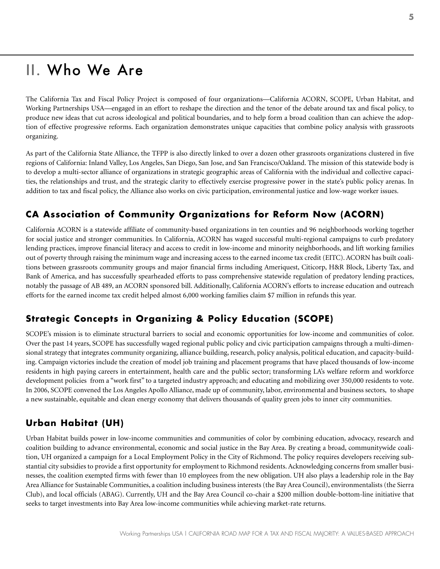# II. Who We Are

The California Tax and Fiscal Policy Project is composed of four organizations—California ACORN, SCOPE, Urban Habitat, and Working Partnerships USA—engaged in an effort to reshape the direction and the tenor of the debate around tax and fiscal policy, to produce new ideas that cut across ideological and political boundaries, and to help form a broad coalition than can achieve the adoption of effective progressive reforms. Each organization demonstrates unique capacities that combine policy analysis with grassroots organizing.

As part of the California State Alliance, the TFPP is also directly linked to over a dozen other grassroots organizations clustered in five regions of California: Inland Valley, Los Angeles, San Diego, San Jose, and San Francisco/Oakland. The mission of this statewide body is to develop a multi-sector alliance of organizations in strategic geographic areas of California with the individual and collective capacities, the relationships and trust, and the strategic clarity to effectively exercise progressive power in the state's public policy arenas. In addition to tax and fiscal policy, the Alliance also works on civic participation, environmental justice and low-wage worker issues.

# **CA Association of Community Organizations for Reform Now (ACORN)**

California ACORN is a statewide affiliate of community-based organizations in ten counties and 96 neighborhoods working together for social justice and stronger communities. In California, ACORN has waged successful multi-regional campaigns to curb predatory lending practices, improve financial literacy and access to credit in low-income and minority neighborhoods, and lift working families out of poverty through raising the minimum wage and increasing access to the earned income tax credit (EITC). ACORN has built coalitions between grassroots community groups and major financial firms including Ameriquest, Citicorp, H&R Block, Liberty Tax, and Bank of America, and has successfully spearheaded efforts to pass comprehensive statewide regulation of predatory lending practices, notably the passage of AB 489, an ACORN sponsored bill. Additionally, California ACORN's efforts to increase education and outreach efforts for the earned income tax credit helped almost 6,000 working families claim \$7 million in refunds this year.

# **Strategic Concepts in Organizing & Policy Education (SCOPE)**

SCOPE's mission is to eliminate structural barriers to social and economic opportunities for low-income and communities of color. Over the past 14 years, SCOPE has successfully waged regional public policy and civic participation campaigns through a multi-dimensional strategy that integrates community organizing, alliance building, research, policy analysis, political education, and capacity-building. Campaign victories include the creation of model job training and placement programs that have placed thousands of low-income residents in high paying careers in entertainment, health care and the public sector; transforming LA's welfare reform and workforce development policies from a "work first" to a targeted industry approach; and educating and mobilizing over 350,000 residents to vote. In 2006, SCOPE convened the Los Angeles Apollo Alliance, made up of community, labor, environmental and business sectors, to shape a new sustainable, equitable and clean energy economy that delivers thousands of quality green jobs to inner city communities.

#### **Urban Habitat (UH)**

Urban Habitat builds power in low-income communities and communities of color by combining education, advocacy, research and coalition building to advance environmental, economic and social justice in the Bay Area. By creating a broad, communitywide coalition, UH organized a campaign for a Local Employment Policy in the City of Richmond. The policy requires developers receiving substantial city subsidies to provide a first opportunity for employment to Richmond residents. Acknowledging concerns from smaller businesses, the coalition exempted firms with fewer than 10 employees from the new obligation. UH also plays a leadership role in the Bay Area Alliance for Sustainable Communities, a coalition including business interests (the Bay Area Council), environmentalists (the Sierra Club), and local officials (ABAG). Currently, UH and the Bay Area Council co-chair a \$200 million double-bottom-line initiative that seeks to target investments into Bay Area low-income communities while achieving market-rate returns.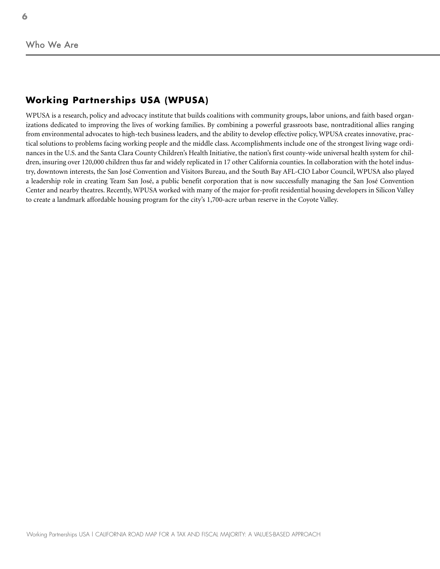# **Working Partnerships USA (WPUSA)**

WPUSA is a research, policy and advocacy institute that builds coalitions with community groups, labor unions, and faith based organizations dedicated to improving the lives of working families. By combining a powerful grassroots base, nontraditional allies ranging from environmental advocates to high-tech business leaders, and the ability to develop effective policy, WPUSA creates innovative, practical solutions to problems facing working people and the middle class. Accomplishments include one of the strongest living wage ordinances in the U.S. and the Santa Clara County Children's Health Initiative, the nation's first county-wide universal health system for children, insuring over 120,000 children thus far and widely replicated in 17 other California counties. In collaboration with the hotel industry, downtown interests, the San José Convention and Visitors Bureau, and the South Bay AFL-CIO Labor Council, WPUSA also played a leadership role in creating Team San José, a public benefit corporation that is now successfully managing the San José Convention Center and nearby theatres. Recently, WPUSA worked with many of the major for-profit residential housing developers in Silicon Valley to create a landmark affordable housing program for the city's 1,700-acre urban reserve in the Coyote Valley.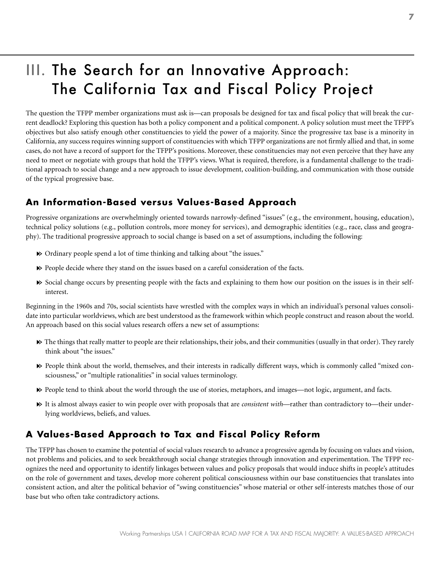# III. The Search for an Innovative Approach: The California Tax and Fiscal Policy Project

The question the TFPP member organizations must ask is—can proposals be designed for tax and fiscal policy that will break the current deadlock? Exploring this question has both a policy component and a political component. A policy solution must meet the TFPP's objectives but also satisfy enough other constituencies to yield the power of a majority. Since the progressive tax base is a minority in California, any success requires winning support of constituencies with which TFPP organizations are not firmly allied and that, in some cases, do not have a record of support for the TFPP's positions. Moreover, these constituencies may not even perceive that they have any need to meet or negotiate with groups that hold the TFPP's views. What is required, therefore, is a fundamental challenge to the traditional approach to social change and a new approach to issue development, coalition-building, and communication with those outside of the typical progressive base.

# **An Information-Based versus Values-Based Approach**

Progressive organizations are overwhelmingly oriented towards narrowly-defined "issues" (e.g., the environment, housing, education), technical policy solutions (e.g., pollution controls, more money for services), and demographic identities (e.g., race, class and geography). The traditional progressive approach to social change is based on a set of assumptions, including the following:

- $\triangleright$  Ordinary people spend a lot of time thinking and talking about "the issues."
- $\triangleright$  People decide where they stand on the issues based on a careful consideration of the facts.
- $\triangleright$  Social change occurs by presenting people with the facts and explaining to them how our position on the issues is in their selfinterest.

Beginning in the 1960s and 70s, social scientists have wrestled with the complex ways in which an individual's personal values consolidate into particular worldviews, which are best understood as the framework within which people construct and reason about the world. An approach based on this social values research offers a new set of assumptions:

- $\triangleright$  The things that really matter to people are their relationships, their jobs, and their communities (usually in that order). They rarely think about "the issues."
- $\triangleright$  People think about the world, themselves, and their interests in radically different ways, which is commonly called "mixed consciousness," or "multiple rationalities" in social values terminology.
- ▶ People tend to think about the world through the use of stories, metaphors, and images—not logic, argument, and facts.
- **►** It is almost always easier to win people over with proposals that are *consistent with*—rather than contradictory to—their underlying worldviews, beliefs, and values.

# **A Values-Based Approach to Tax and Fiscal Policy Reform**

The TFPP has chosen to examine the potential of social values research to advance a progressive agenda by focusing on values and vision, not problems and policies, and to seek breakthrough social change strategies through innovation and experimentation. The TFPP recognizes the need and opportunity to identify linkages between values and policy proposals that would induce shifts in people's attitudes on the role of government and taxes, develop more coherent political consciousness within our base constituencies that translates into consistent action, and alter the political behavior of "swing constituencies" whose material or other self-interests matches those of our base but who often take contradictory actions.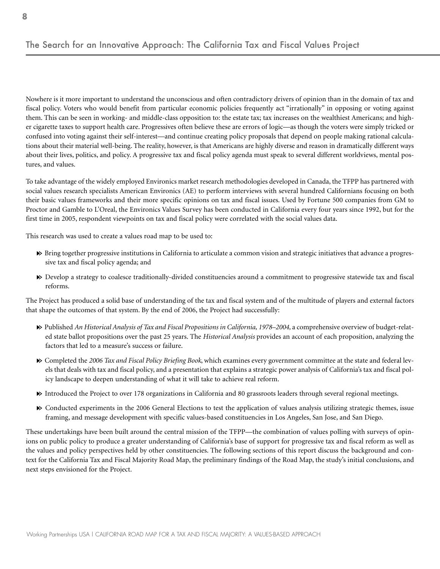# The Search for an Innovative Approach: The California Tax and Fiscal Values Project

Nowhere is it more important to understand the unconscious and often contradictory drivers of opinion than in the domain of tax and fiscal policy. Voters who would benefit from particular economic policies frequently act "irrationally" in opposing or voting against them. This can be seen in working- and middle-class opposition to: the estate tax; tax increases on the wealthiest Americans; and higher cigarette taxes to support health care. Progressives often believe these are errors of logic—as though the voters were simply tricked or confused into voting against their self-interest—and continue creating policy proposals that depend on people making rational calculations about their material well-being. The reality, however, is that Americans are highly diverse and reason in dramatically different ways about their lives, politics, and policy. A progressive tax and fiscal policy agenda must speak to several different worldviews, mental postures, and values.

To take advantage of the widely employed Environics market research methodologies developed in Canada, the TFPP has partnered with social values research specialists American Environics (AE) to perform interviews with several hundred Californians focusing on both their basic values frameworks and their more specific opinions on tax and fiscal issues. Used by Fortune 500 companies from GM to Proctor and Gamble to L'Oreal, the Environics Values Survey has been conducted in California every four years since 1992, but for the first time in 2005, respondent viewpoints on tax and fiscal policy were correlated with the social values data.

This research was used to create a values road map to be used to:

- $\triangleright$  Bring together progressive institutions in California to articulate a common vision and strategic initiatives that advance a progressive tax and fiscal policy agenda; and
- $\triangleright$  Develop a strategy to coalesce traditionally-divided constituencies around a commitment to progressive statewide tax and fiscal reforms.

The Project has produced a solid base of understanding of the tax and fiscal system and of the multitude of players and external factors that shape the outcomes of that system. By the end of 2006, the Project had successfully:

- t Published *An Historical Analysis of Tax and Fiscal Propositions in California, 1978–2004,* a comprehensive overview of budget-related state ballot propositions over the past 25 years. The *Historical Analysis* provides an account of each proposition, analyzing the factors that led to a measure's success or failure.
- $\triangleright$  Completed the 2006 Tax and Fiscal Policy Briefing Book, which examines every government committee at the state and federal levels that deals with tax and fiscal policy, and a presentation that explains a strategic power analysis of California's tax and fiscal policy landscape to deepen understanding of what it will take to achieve real reform.
- $\triangleright$  Introduced the Project to over 178 organizations in California and 80 grassroots leaders through several regional meetings.
- $\triangleright$  Conducted experiments in the 2006 General Elections to test the application of values analysis utilizing strategic themes, issue framing, and message development with specific values-based constituencies in Los Angeles, San Jose, and San Diego.

These undertakings have been built around the central mission of the TFPP—the combination of values polling with surveys of opinions on public policy to produce a greater understanding of California's base of support for progressive tax and fiscal reform as well as the values and policy perspectives held by other constituencies. The following sections of this report discuss the background and context for the California Tax and Fiscal Majority Road Map, the preliminary findings of the Road Map, the study's initial conclusions, and next steps envisioned for the Project.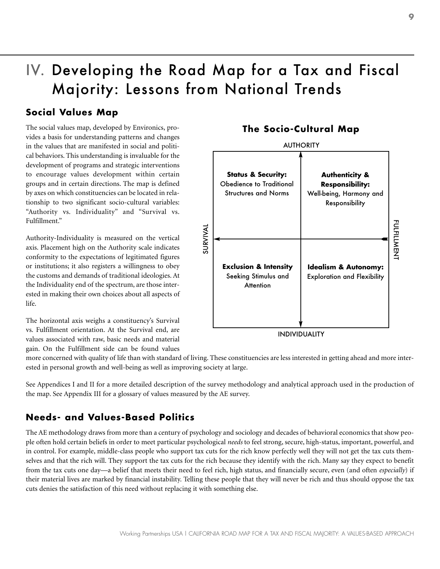# IV. Developing the Road Map for a Tax and Fiscal Majority: Lessons from National Trends

# **Social Values Map**

The social values map, developed by Environics, provides a basis for understanding patterns and changes in the values that are manifested in social and political behaviors. This understanding is invaluable for the development of programs and strategic interventions to encourage values development within certain groups and in certain directions. The map is defined by axes on which constituencies can be located in relationship to two significant socio-cultural variables: "Authority vs. Individuality" and "Survival vs. Fulfillment."

Authority-Individuality is measured on the vertical axis. Placement high on the Authority scale indicates conformity to the expectations of legitimated figures or institutions; it also registers a willingness to obey the customs and demands of traditional ideologies. At the Individuality end of the spectrum, are those interested in making their own choices about all aspects of life.

The horizontal axis weighs a constituency's Survival vs. Fulfillment orientation. At the Survival end, are values associated with raw, basic needs and material gain. On the Fulfillment side can be found values





more concerned with quality of life than with standard of living. These constituencies are less interested in getting ahead and more interested in personal growth and well-being as well as improving society at large.

See Appendices I and II for a more detailed description of the survey methodology and analytical approach used in the production of the map. See Appendix III for a glossary of values measured by the AE survey.

#### **Needs- and Values-Based Politics**

The AE methodology draws from more than a century of psychology and sociology and decades of behavioral economics that show people often hold certain beliefs in order to meet particular psychological *needs* to feel strong, secure, high-status, important, powerful, and in control. For example, middle-class people who support tax cuts for the rich know perfectly well they will not get the tax cuts themselves and that the rich will. They support the tax cuts for the rich because they identify with the rich. Many say they expect to benefit from the tax cuts one day—a belief that meets their need to feel rich, high status, and financially secure, even (and often *especially*) if their material lives are marked by financial instability. Telling these people that they will never be rich and thus should oppose the tax cuts denies the satisfaction of this need without replacing it with something else.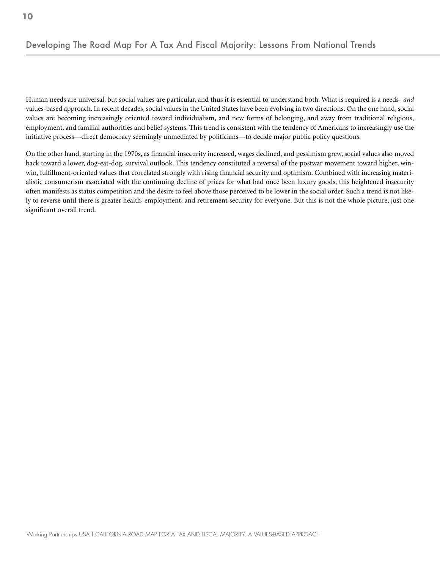Human needs are universal, but social values are particular, and thus it is essential to understand both. What is required is a needs- *and* values-based approach. In recent decades, social values in the United States have been evolving in two directions. On the one hand, social values are becoming increasingly oriented toward individualism, and new forms of belonging, and away from traditional religious, employment, and familial authorities and belief systems. This trend is consistent with the tendency of Americans to increasingly use the initiative process—direct democracy seemingly unmediated by politicians—to decide major public policy questions.

On the other hand, starting in the 1970s, as financial insecurity increased, wages declined, and pessimism grew, social values also moved back toward a lower, dog-eat-dog, survival outlook. This tendency constituted a reversal of the postwar movement toward higher, winwin, fulfillment-oriented values that correlated strongly with rising financial security and optimism. Combined with increasing materialistic consumerism associated with the continuing decline of prices for what had once been luxury goods, this heightened insecurity often manifests as status competition and the desire to feel above those perceived to be lower in the social order. Such a trend is not likely to reverse until there is greater health, employment, and retirement security for everyone. But this is not the whole picture, just one significant overall trend.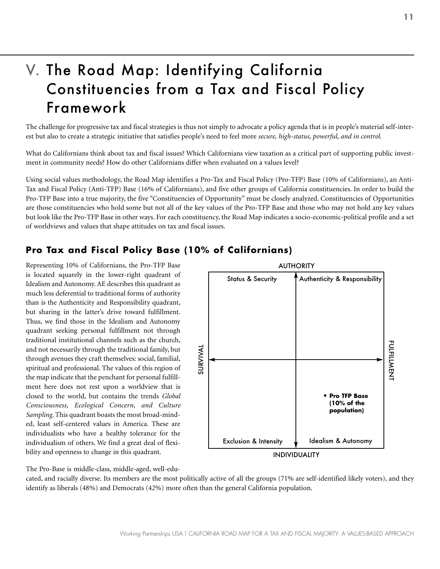# V. The Road Map: Identifying California Constituencies from a Tax and Fiscal Policy Framework

The challenge for progressive tax and fiscal strategies is thus not simply to advocate a policy agenda that is in people's material self-interest but also to create a strategic initiative that satisfies people's need to feel more *secure, high-status, powerful, and in control*.

What do Californians think about tax and fiscal issues? Which Californians view taxation as a critical part of supporting public investment in community needs? How do other Californians differ when evaluated on a values level?

Using social values methodology, the Road Map identifies a Pro-Tax and Fiscal Policy (Pro-TFP) Base (10% of Californians), an Anti-Tax and Fiscal Policy (Anti-TFP) Base (16% of Californians), and five other groups of California constituencies. In order to build the Pro-TFP Base into a true majority, the five "Constituencies of Opportunity" must be closely analyzed. Constituencies of Opportunities are those constituencies who hold some but not all of the key values of the Pro-TFP Base and those who may not hold any key values but look like the Pro-TFP Base in other ways. For each constituency, the Road Map indicates a socio-economic-political profile and a set of worldviews and values that shape attitudes on tax and fiscal issues.

# **Pro Tax and Fiscal Policy Base (10% of Californians)**

Representing 10% of Californians, the Pro-TFP Base is located squarely in the lower-right quadrant of Idealism and Autonomy. AE describes this quadrant as much less deferential to traditional forms of authority than is the Authenticity and Responsibility quadrant, but sharing in the latter's drive toward fulfillment. Thus, we find those in the Idealism and Autonomy quadrant seeking personal fulfillment not through traditional institutional channels such as the church, and not necessarily through the traditional family, but through avenues they craft themselves: social, familial, spiritual and professional. The values of this region of the map indicate that the penchant for personal fulfillment here does not rest upon a worldview that is closed to the world, but contains the trends *Global Consciousness, Ecological Concern, and Culture Sampling*. This quadrant boasts the most broad-minded, least self-centered values in America. These are individualists who have a healthy tolerance for the individualism of others. We find a great deal of flexibility and openness to change in this quadrant.



The Pro-Base is middle-class, middle-aged, well-edu-

cated, and racially diverse. Its members are the most politically active of all the groups (71% are self-identified likely voters), and they identify as liberals (48%) and Democrats (42%) more often than the general California population.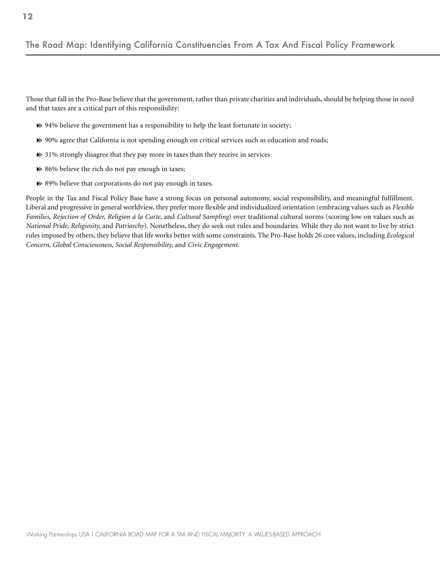#### The Road Map: Identifying California Constituencies From A Tax And Fiscal Policy Framework

Those that fall in the Pro-Base believe that the government, rather than private charities and individuals, should be helping those in need and that taxes are a critical part of this responsibility:

- $\triangleright$  94% believe the government has a responsibility to help the least fortunate in society;
- $\triangleright$  90% agree that California is not spending enough on critical services such as education and roads;
- $\triangleright$  31% strongly disagree that they pay more in taxes than they receive in services
- $\blacktriangleright$  86% believe the rich do not pay enough in taxes;
- $\triangleright$  89% believe that corporations do not pay enough in taxes.

People in the Tax and Fiscal Policy Base have a strong focus on personal autonomy, social responsibility, and meaningful fulfillment. Liberal and progressive in general worldview, they prefer more flexible and individualized orientation (embracing values such as *Flexible Families, Rejection of Order, Religion á la Carte,* and *Cultural Sampling*) over traditional cultural norms (scoring low on values such as *National Pride, Religiosity,* and *Patriarchy*). Nonetheless, they do seek out rules and boundaries. While they do not want to live by strict rules imposed by others, they believe that life works better with some constraints. The Pro-Base holds 26 core values, including *Ecological Concern, Global Consciousness, Social Responsibility,* and *Civic Engagement*.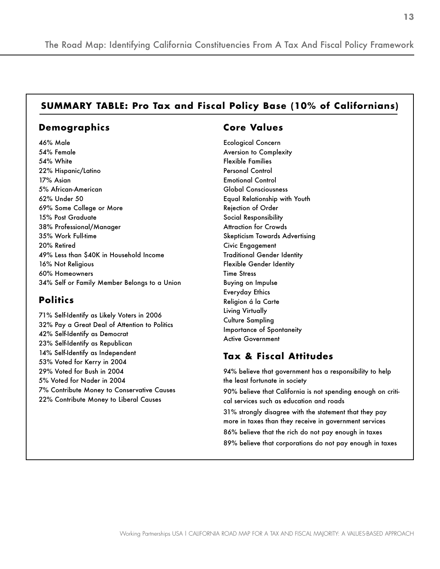# **SUMMARY TABLE: Pro Tax and Fiscal Policy Base (10% of Californians)**

#### **Demographics**

46% Male 54% Female 54% White 22% Hispanic/Latino 17% Asian 5% African-American 62% Under 50 69% Some College or More 15% Post Graduate 38% Professional/Manager 35% Work Full-time 20% Retired 49% Less than \$40K in Household Income 16% Not Religious 60% Homeowners 34% Self or Family Member Belongs to a Union

# **Politics**

71% Self-Identify as Likely Voters in 2006 32% Pay a Great Deal of Attention to Politics 42% Self-Identify as Democrat 23% Self-Identify as Republican 14% Self-Identify as Independent 53% Voted for Kerry in 2004 29% Voted for Bush in 2004 5% Voted for Nader in 2004 7% Contribute Money to Conservative Causes 22% Contribute Money to Liberal Causes

#### **Core Values**

Ecological Concern Aversion to Complexity Flexible Families Personal Control Emotional Control Global Consciousness Equal Relationship with Youth Rejection of Order Social Responsibility Attraction for Crowds Skepticism Towards Advertising Civic Engagement Traditional Gender Identity Flexible Gender Identity Time Stress Buying on Impulse Everyday Ethics Religion á la Carte Living Virtually Culture Sampling Importance of Spontaneity Active Government

# **Tax & Fiscal Attitudes**

94% believe that government has a responsibility to help the least fortunate in society 90% believe that California is not spending enough on critical services such as education and roads

31% strongly disagree with the statement that they pay more in taxes than they receive in government services 86% believe that the rich do not pay enough in taxes 89% believe that corporations do not pay enough in taxes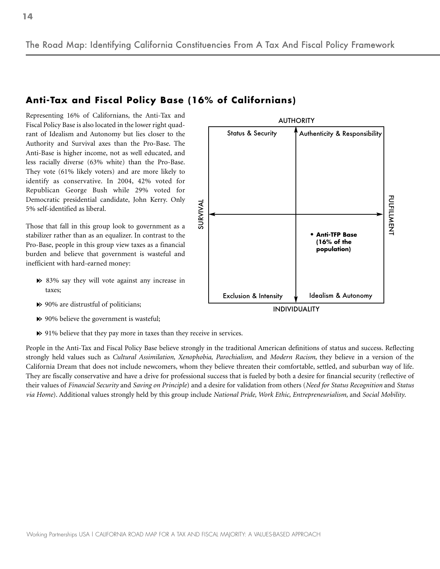#### **Anti-Tax and Fiscal Policy Base (16% of Californians)**

Representing 16% of Californians, the Anti-Tax and Fiscal Policy Base is also located in the lower right quadrant of Idealism and Autonomy but lies closer to the Authority and Survival axes than the Pro-Base. The Anti-Base is higher income, not as well educated, and less racially diverse (63% white) than the Pro-Base. They vote (61% likely voters) and are more likely to identify as conservative. In 2004, 42% voted for Republican George Bush while 29% voted for Democratic presidential candidate, John Kerry. Only 5% self-identified as liberal.

**14**

Those that fall in this group look to government as a stabilizer rather than as an equalizer. In contrast to the Pro-Base, people in this group view taxes as a financial burden and believe that government is wasteful and inefficient with hard-earned money:

- $\triangleright$  83% say they will vote against any increase in taxes;
- $\blacktriangleright$  90% are distrustful of politicians;
- $\triangleright$  90% believe the government is wasteful;
- $\triangleright$  91% believe that they pay more in taxes than they receive in services.

People in the Anti-Tax and Fiscal Policy Base believe strongly in the traditional American definitions of status and success. Reflecting strongly held values such as *Cultural Assimilation, Xenophobia, Parochialism,* and *Modern Racism*, they believe in a version of the California Dream that does not include newcomers, whom they believe threaten their comfortable, settled, and suburban way of life. They are fiscally conservative and have a drive for professional success that is fueled by both a desire for financial security (reflective of their values of *Financial Security* and *Saving on Principle*) and a desire for validation from others (*Need for Status Recognition* and *Status via Home*). Additional values strongly held by this group include *National Pride, Work Ethic, Entrepreneurialism,* and *Social Mobility*.

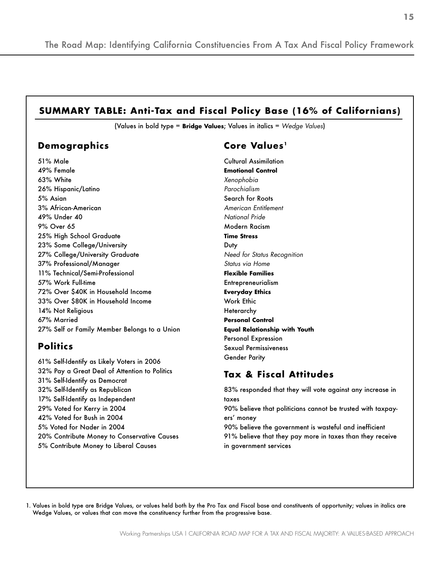#### **SUMMARY TABLE: Anti-Tax and Fiscal Policy Base (16% of Californians)**

(Values in bold type = **Bridge Values**; Values in italics = *Wedge Values*)

#### **Demographics**

#### Core Values<sup>1</sup>

51% Male 49% Female 63% White 26% Hispanic/Latino 5% Asian 3% African-American 49% Under 40 9% Over 65 25% High School Graduate 23% Some College/University 27% College/University Graduate 37% Professional/Manager 11% Technical/Semi-Professional 57% Work Full-time 72% Over \$40K in Household Income 33% Over \$80K in Household Income 14% Not Religious 67% Married 27% Self or Family Member Belongs to a Union

# **Politics**

61% Self-Identify as Likely Voters in 2006 32% Pay a Great Deal of Attention to Politics 31% Self-Identify as Democrat 32% Self-Identify as Republican 17% Self-Identify as Independent 29% Voted for Kerry in 2004 42% Voted for Bush in 2004 5% Voted for Nader in 2004 20% Contribute Money to Conservative Causes 5% Contribute Money to Liberal Causes

Cultural Assimilation **Emotional Control** *Xenophobia Parochialism* Search for Roots *American Entitlement National Pride* Modern Racism **Time Stress** Duty *Need for Status Recognition Status via Home* **Flexible Families** Entrepreneurialism **Everyday Ethics** Work Ethic **Heterarchy Personal Control Equal Relationship with Youth** Personal Expression Sexual Permissiveness Gender Parity

# **Tax & Fiscal Attitudes**

83% responded that they will vote against any increase in taxes 90% believe that politicians cannot be trusted with taxpayers' money 90% believe the government is wasteful and inefficient 91% believe that they pay more in taxes than they receive in government services

1. Values in bold type are Bridge Values, or values held both by the Pro Tax and Fiscal base and constituents of opportunity; values in italics are Wedge Values, or values that can move the constituency further from the progressive base.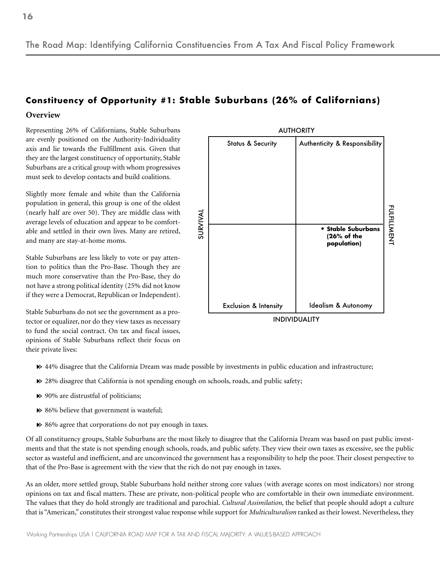# **Constituency of Opportunity #1: Stable Suburbans (26% of Californians)**

#### **Overview**

Representing 26% of Californians, Stable Suburbans are evenly positioned on the Authority-Individuality axis and lie towards the Fulfillment axis. Given that they are the largest constituency of opportunity, Stable Suburbans are a critical group with whom progressives must seek to develop contacts and build coalitions.

Slightly more female and white than the California population in general, this group is one of the oldest (nearly half are over 50). They are middle class with average levels of education and appear to be comfortable and settled in their own lives. Many are retired, and many are stay-at-home moms.

Stable Suburbans are less likely to vote or pay attention to politics than the Pro-Base. Though they are much more conservative than the Pro-Base, they do not have a strong political identity (25% did not know if they were a Democrat, Republican or Independent).

Stable Suburbans do not see the government as a protector or equalizer, nor do they view taxes as necessary to fund the social contract. On tax and fiscal issues, opinions of Stable Suburbans reflect their focus on their private lives:



- $\triangleright$  28% disagree that California is not spending enough on schools, roads, and public safety;
- $\triangleright$  90% are distrustful of politicians;
- $\triangleright$  86% believe that government is wasteful;
- $\triangleright$  86% agree that corporations do not pay enough in taxes.

Of all constituency groups, Stable Suburbans are the most likely to disagree that the California Dream was based on past public investments and that the state is not spending enough schools, roads, and public safety. They view their own taxes as excessive, see the public sector as wasteful and inefficient, and are unconvinced the government has a responsibility to help the poor. Their closest perspective to that of the Pro-Base is agreement with the view that the rich do not pay enough in taxes.

As an older, more settled group, Stable Suburbans hold neither strong core values (with average scores on most indicators) nor strong opinions on tax and fiscal matters. These are private, non-political people who are comfortable in their own immediate environment. The values that they do hold strongly are traditional and parochial. *Cultural Assimilation*, the belief that people should adopt a culture that is "American," constitutes their strongest value response while support for *Multiculturalism* ranked as their lowest. Nevertheless, they

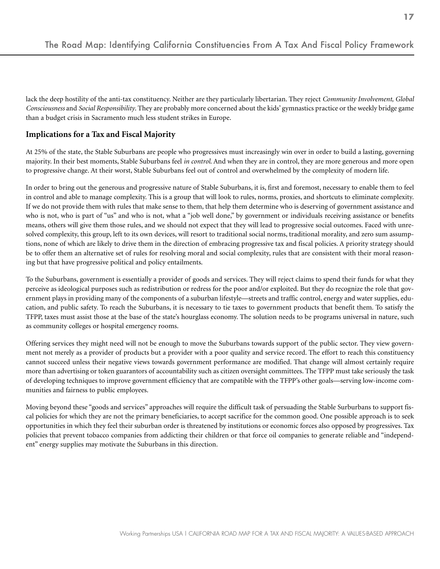lack the deep hostility of the anti-tax constituency. Neither are they particularly libertarian. They reject *Community Involvement, Global Consciousness* and *Social Responsibility*. They are probably more concerned about the kids' gymnastics practice or the weekly bridge game than a budget crisis in Sacramento much less student strikes in Europe.

#### **Implications for a Tax and Fiscal Majority**

At 25% of the state, the Stable Suburbans are people who progressives must increasingly win over in order to build a lasting, governing majority. In their best moments, Stable Suburbans feel *in control*. And when they are in control, they are more generous and more open to progressive change. At their worst, Stable Suburbans feel out of control and overwhelmed by the complexity of modern life.

In order to bring out the generous and progressive nature of Stable Suburbans, it is, first and foremost, necessary to enable them to feel in control and able to manage complexity. This is a group that will look to rules, norms, proxies, and shortcuts to eliminate complexity. If we do not provide them with rules that make sense to them, that help them determine who is deserving of government assistance and who is not, who is part of "us" and who is not, what a "job well done," by government or individuals receiving assistance or benefits means, others will give them those rules, and we should not expect that they will lead to progressive social outcomes. Faced with unresolved complexity, this group, left to its own devices, will resort to traditional social norms, traditional morality, and zero sum assumptions, none of which are likely to drive them in the direction of embracing progressive tax and fiscal policies. A priority strategy should be to offer them an alternative set of rules for resolving moral and social complexity, rules that are consistent with their moral reasoning but that have progressive political and policy entailments.

To the Suburbans, government is essentially a provider of goods and services. They will reject claims to spend their funds for what they perceive as ideological purposes such as redistribution or redress for the poor and/or exploited. But they do recognize the role that government plays in providing many of the components of a suburban lifestyle—streets and traffic control, energy and water supplies, education, and public safety. To reach the Suburbans, it is necessary to tie taxes to government products that benefit them. To satisfy the TFPP, taxes must assist those at the base of the state's hourglass economy. The solution needs to be programs universal in nature, such as community colleges or hospital emergency rooms.

Offering services they might need will not be enough to move the Suburbans towards support of the public sector. They view government not merely as a provider of products but a provider with a poor quality and service record. The effort to reach this constituency cannot succeed unless their negative views towards government performance are modified. That change will almost certainly require more than advertising or token guarantors of accountability such as citizen oversight committees. The TFPP must take seriously the task of developing techniques to improve government efficiency that are compatible with the TFPP's other goals—serving low-income communities and fairness to public employees.

Moving beyond these "goods and services" approaches will require the difficult task of persuading the Stable Surburbans to support fiscal policies for which they are not the primary beneficiaries, to accept sacrifice for the common good. One possible approach is to seek opportunities in which they feel their suburban order is threatened by institutions or economic forces also opposed by progressives. Tax policies that prevent tobacco companies from addicting their children or that force oil companies to generate reliable and "independent" energy supplies may motivate the Suburbans in this direction.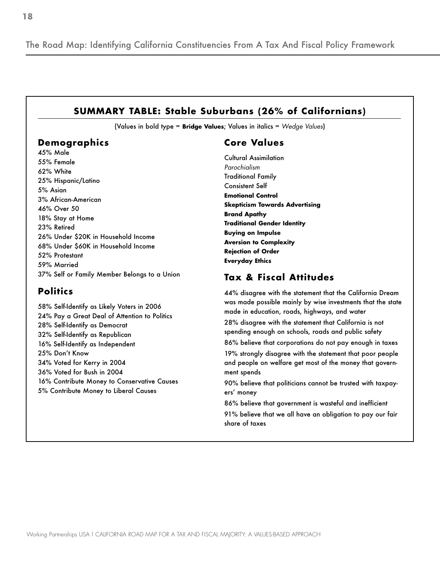#### **SUMMARY TABLE: Stable Suburbans (26% of Californians)**

(Values in bold type = **Bridge Values**; Values in italics = *Wedge Values*)

#### **Demographics**

45% Male 55% Female 62% White 25% Hispanic/Latino 5% Asian 3% African-American 46% Over 50 18% Stay at Home 23% Retired 26% Under \$20K in Household Income 68% Under \$60K in Household Income 52% Protestant 59% Married 37% Self or Family Member Belongs to a Union

#### **Politics**

58% Self-Identify as Likely Voters in 2006 24% Pay a Great Deal of Attention to Politics 28% Self-Identify as Democrat 32% Self-Identify as Republican 16% Self-Identify as Independent 25% Don't Know 34% Voted for Kerry in 2004 36% Voted for Bush in 2004 16% Contribute Money to Conservative Causes 5% Contribute Money to Liberal Causes

#### **Core Values**

Cultural Assimilation *Parochialism* Traditional Family Consistent Self **Emotional Control Skepticism Towards Advertising Brand Apathy Traditional Gender Identity Buying on Impulse Aversion to Complexity Rejection of Order Everyday Ethics**

### **Tax & Fiscal Attitudes**

44% disagree with the statement that the California Dream was made possible mainly by wise investments that the state made in education, roads, highways, and water

28% disagree with the statement that California is not spending enough on schools, roads and public safety

86% believe that corporations do not pay enough in taxes 19% strongly disagree with the statement that poor people and people on welfare get most of the money that government spends

90% believe that politicians cannot be trusted with taxpayers' money

86% believe that government is wasteful and inefficient 91% believe that we all have an obligation to pay our fair share of taxes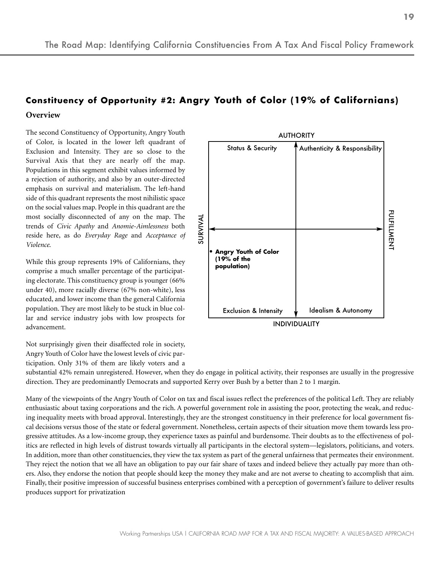# **Constituency of Opportunity #2: Angry Youth of Color (19% of Californians) Overview**

The second Constituency of Opportunity, Angry Youth of Color, is located in the lower left quadrant of Exclusion and Intensity. They are so close to the Survival Axis that they are nearly off the map. Populations in this segment exhibit values informed by a rejection of authority, and also by an outer-directed emphasis on survival and materialism. The left-hand side of this quadrant represents the most nihilistic space on the social values map. People in this quadrant are the most socially disconnected of any on the map. The trends of *Civic Apathy* and *Anomie-Aimlessness* both reside here, as do *Everyday Rage* and *Acceptance of Violence*.

While this group represents 19% of Californians, they comprise a much smaller percentage of the participating electorate. This constituency group is younger (66% under 40), more racially diverse (67% non-white), less educated, and lower income than the general California population. They are most likely to be stuck in blue collar and service industry jobs with low prospects for advancement.





substantial 42% remain unregistered. However, when they do engage in political activity, their responses are usually in the progressive direction. They are predominantly Democrats and supported Kerry over Bush by a better than 2 to 1 margin.

Many of the viewpoints of the Angry Youth of Color on tax and fiscal issues reflect the preferences of the political Left. They are reliably enthusiastic about taxing corporations and the rich. A powerful government role in assisting the poor, protecting the weak, and reducing inequality meets with broad approval. Interestingly, they are the strongest constituency in their preference for local government fiscal decisions versus those of the state or federal government. Nonetheless, certain aspects of their situation move them towards less progressive attitudes. As a low-income group, they experience taxes as painful and burdensome. Their doubts as to the effectiveness of politics are reflected in high levels of distrust towards virtually all participants in the electoral system—legislators, politicians, and voters. In addition, more than other constituencies, they view the tax system as part of the general unfairness that permeates their environment. They reject the notion that we all have an obligation to pay our fair share of taxes and indeed believe they actually pay more than others. Also, they endorse the notion that people should keep the money they make and are not averse to cheating to accomplish that aim. Finally, their positive impression of successful business enterprises combined with a perception of government's failure to deliver results produces support for privatization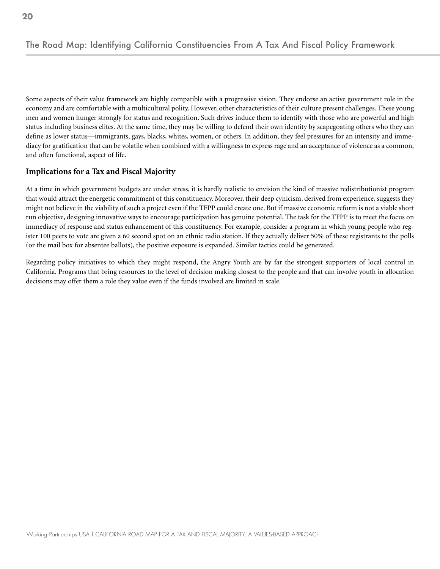Some aspects of their value framework are highly compatible with a progressive vision. They endorse an active government role in the economy and are comfortable with a multicultural polity. However, other characteristics of their culture present challenges. These young men and women hunger strongly for status and recognition. Such drives induce them to identify with those who are powerful and high status including business elites. At the same time, they may be willing to defend their own identity by scapegoating others who they can define as lower status—immigrants, gays, blacks, whites, women, or others. In addition, they feel pressures for an intensity and immediacy for gratification that can be volatile when combined with a willingness to express rage and an acceptance of violence as a common, and often functional, aspect of life.

#### **Implications for a Tax and Fiscal Majority**

At a time in which government budgets are under stress, it is hardly realistic to envision the kind of massive redistributionist program that would attract the energetic commitment of this constituency. Moreover, their deep cynicism, derived from experience, suggests they might not believe in the viability of such a project even if the TFPP could create one. But if massive economic reform is not a viable short run objective, designing innovative ways to encourage participation has genuine potential. The task for the TFPP is to meet the focus on immediacy of response and status enhancement of this constituency. For example, consider a program in which young people who register 100 peers to vote are given a 60 second spot on an ethnic radio station. If they actually deliver 50% of these registrants to the polls (or the mail box for absentee ballots), the positive exposure is expanded. Similar tactics could be generated.

Regarding policy initiatives to which they might respond, the Angry Youth are by far the strongest supporters of local control in California. Programs that bring resources to the level of decision making closest to the people and that can involve youth in allocation decisions may offer them a role they value even if the funds involved are limited in scale.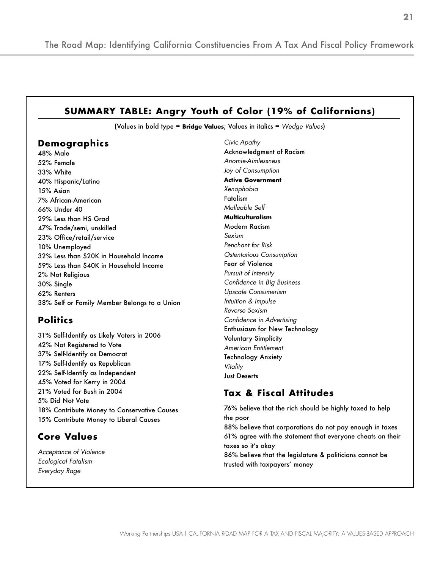#### **SUMMARY TABLE: Angry Youth of Color (19% of Californians)**

(Values in bold type = **Bridge Values**; Values in italics = *Wedge Values*)

#### **Demographics**

48% Male 52% Female 33% White 40% Hispanic/Latino 15% Asian 7% African-American 66% Under 40 29% Less than HS Grad 47% Trade/semi, unskilled 23% Office/retail/service 10% Unemployed 32% Less than \$20K in Household Income 59% Less than \$40K in Household Income 2% Not Religious 30% Single 62% Renters 38% Self or Family Member Belongs to a Union

#### **Politics**

31% Self-Identify as Likely Voters in 2006 42% Not Registered to Vote 37% Self-Identify as Democrat 17% Self-Identify as Republican 22% Self-Identify as Independent 45% Voted for Kerry in 2004 21% Voted for Bush in 2004 5% Did Not Vote 18% Contribute Money to Conservative Causes 15% Contribute Money to Liberal Causes

# **Core Values**

*Acceptance of Violence Ecological Fatalism Everyday Rage*

*Civic Apathy* Acknowledgment of Racism *Anomie-Aimlessness Joy of Consumption* **Active Government** *Xenophobia* Fatalism *Malleable Self* **Multiculturalism** Modern Racism *Sexism Penchant for Risk Ostentatious Consumption* Fear of Violence *Pursuit of Intensity Confidence in Big Business Upscale Consumerism Intuition & Impulse Reverse Sexism Confidence in Advertising* Enthusiasm for New Technology Voluntary Simplicity *American Entitlement* Technology Anxiety *Vitality* Just Deserts

# **Tax & Fiscal Attitudes**

76% believe that the rich should be highly taxed to help the poor 88% believe that corporations do not pay enough in taxes 61% agree with the statement that everyone cheats on their taxes so it's okay 86% believe that the legislature & politicians cannot be trusted with taxpayers' money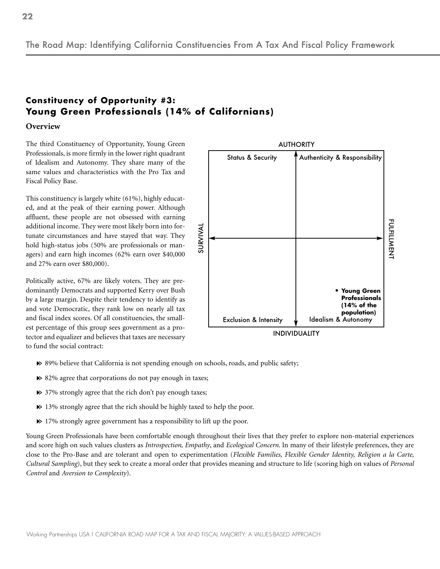#### **Constituency of Opportunity #3: Young Green Professionals (14% of Californians)**

#### **Overview**

The third Constituency of Opportunity, Young Green Professionals, is more firmly in the lower right quadrant of Idealism and Autonomy. They share many of the same values and characteristics with the Pro Tax and Fiscal Policy Base.

This constituency is largely white (61%), highly educated, and at the peak of their earning power. Although affluent, these people are not obsessed with earning additional income. They were most likely born into fortunate circumstances and have stayed that way. They hold high-status jobs (50% are professionals or managers) and earn high incomes (62% earn over \$40,000 and 27% earn over \$80,000).

Politically active, 67% are likely voters. They are predominantly Democrats and supported Kerry over Bush by a large margin. Despite their tendency to identify as and vote Democratic, they rank low on nearly all tax and fiscal index scores. Of all constituencies, the smallest percentage of this group sees government as a protector and equalizer and believes that taxes are necessary to fund the social contract:



- $\triangleright$  89% believe that California is not spending enough on schools, roads, and public safety;
- $\triangleright$  82% agree that corporations do not pay enough in taxes;
- $\triangleright$  37% strongly agree that the rich don't pay enough taxes;
- $\triangleright$  13% strongly agree that the rich should be highly taxed to help the poor.
- $\triangleright$  17% strongly agree government has a responsibility to lift up the poor.

Young Green Professionals have been comfortable enough throughout their lives that they prefer to explore non-material experiences and score high on such values clusters as *Introspection, Empathy*, and *Ecological Concern*. In many of their lifestyle preferences, they are close to the Pro-Base and are tolerant and open to experimentation (*Flexible Families, Flexible Gender Identity, Religion a la Carte, Cultural Sampling*), but they seek to create a moral order that provides meaning and structure to life (scoring high on values of *Personal Control* and *Aversion to Complexity*).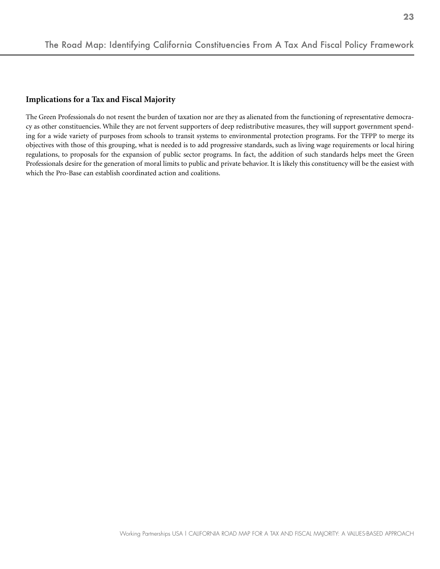#### **Implications for a Tax and Fiscal Majority**

The Green Professionals do not resent the burden of taxation nor are they as alienated from the functioning of representative democracy as other constituencies. While they are not fervent supporters of deep redistributive measures, they will support government spending for a wide variety of purposes from schools to transit systems to environmental protection programs. For the TFPP to merge its objectives with those of this grouping, what is needed is to add progressive standards, such as living wage requirements or local hiring regulations, to proposals for the expansion of public sector programs. In fact, the addition of such standards helps meet the Green Professionals desire for the generation of moral limits to public and private behavior. It is likely this constituency will be the easiest with which the Pro-Base can establish coordinated action and coalitions.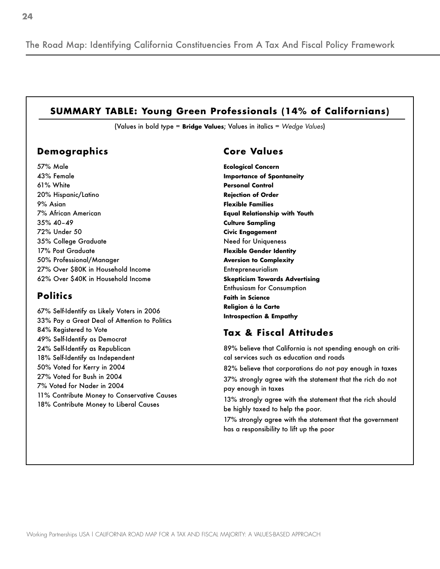#### **SUMMARY TABLE: Young Green Professionals (14% of Californians)**

(Values in bold type = **Bridge Values**; Values in italics = *Wedge Values*)

# **Demographics**

**Core Values**

57% Male 43% Female 61% White 20% Hispanic/Latino 9% Asian 7% African American 35% 40–49 72% Under 50 35% College Graduate 17% Post Graduate 50% Professional/Manager 27% Over \$80K in Household Income 62% Over \$40K in Household Income

# **Politics**

67% Self-Identify as Likely Voters in 2006 33% Pay a Great Deal of Attention to Politics 84% Registered to Vote 49% Self-Identify as Democrat 24% Self-Identify as Republican 18% Self-Identify as Independent 50% Voted for Kerry in 2004 27% Voted for Bush in 2004 7% Voted for Nader in 2004 11% Contribute Money to Conservative Causes 18% Contribute Money to Liberal Causes

**Ecological Concern Importance of Spontaneity Personal Control Rejection of Order Flexible Families Equal Relationship with Youth Culture Sampling Civic Engagement** Need for Uniqueness **Flexible Gender Identity Aversion to Complexity** Entrepreneurialism **Skepticism Towards Advertising** Enthusiasm for Consumption **Faith in Science Religion á la Carte Introspection & Empathy**

# **Tax & Fiscal Attitudes**

89% believe that California is not spending enough on critical services such as education and roads

82% believe that corporations do not pay enough in taxes 37% strongly agree with the statement that the rich do not pay enough in taxes

13% strongly agree with the statement that the rich should be highly taxed to help the poor.

17% strongly agree with the statement that the government has a responsibility to lift up the poor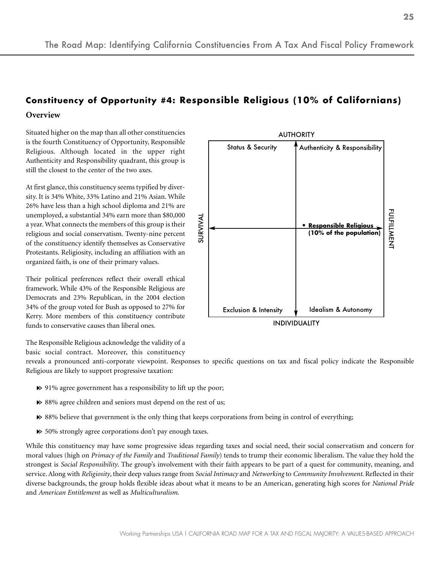# **Constituency of Opportunity #4: Responsible Religious (10% of Californians)**

#### **Overview**

Situated higher on the map than all other constituencies is the fourth Constituency of Opportunity, Responsible Religious. Although located in the upper right Authenticity and Responsibility quadrant, this group is still the closest to the center of the two axes.

At first glance, this constituency seems typified by diversity. It is 34% White, 33% Latino and 21% Asian. While 26% have less than a high school diploma and 21% are unemployed, a substantial 34% earn more than \$80,000 a year. What connects the members of this group is their religious and social conservatism. Twenty-nine percent of the constituency identify themselves as Conservative Protestants. Religiosity, including an affiliation with an organized faith, is one of their primary values.

Their political preferences reflect their overall ethical framework. While 43% of the Responsible Religious are Democrats and 23% Republican, in the 2004 election 34% of the group voted for Bush as opposed to 27% for Kerry. More members of this constituency contribute funds to conservative causes than liberal ones.



The Responsible Religious acknowledge the validity of a

basic social contract. Moreover, this constituency

reveals a pronounced anti-corporate viewpoint. Responses to specific questions on tax and fiscal policy indicate the Responsible Religious are likely to support progressive taxation:

- $\triangleright$  91% agree government has a responsibility to lift up the poor;
- $\triangleright$  88% agree children and seniors must depend on the rest of us;
- $\triangleright$  88% believe that government is the only thing that keeps corporations from being in control of everything;
- $\triangleright$  50% strongly agree corporations don't pay enough taxes.

While this constituency may have some progressive ideas regarding taxes and social need, their social conservatism and concern for moral values (high on *Primacy of the Family* and *Traditional Family*) tends to trump their economic liberalism. The value they hold the strongest is *Social Responsibility*. The group's involvement with their faith appears to be part of a quest for community, meaning, and service.Along with *Religiosity*, their deep values range from *Social Intimacy* and *Networking* to *Community Involvement*. Reflected in their diverse backgrounds, the group holds flexible ideas about what it means to be an American, generating high scores for *National Pride* and *American Entitlement* as well as *Multiculturalism*.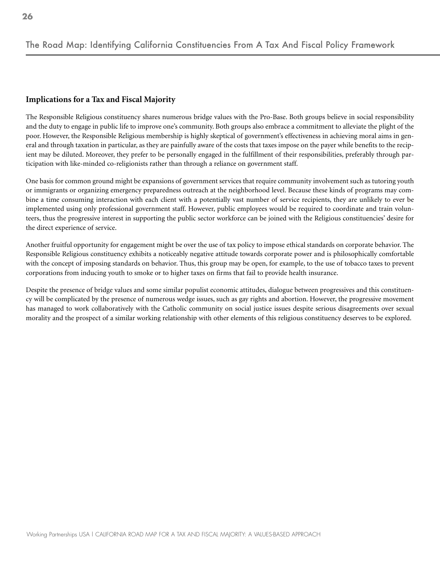#### **Implications for a Tax and Fiscal Majority**

The Responsible Religious constituency shares numerous bridge values with the Pro-Base. Both groups believe in social responsibility and the duty to engage in public life to improve one's community. Both groups also embrace a commitment to alleviate the plight of the poor. However, the Responsible Religious membership is highly skeptical of government's effectiveness in achieving moral aims in general and through taxation in particular, as they are painfully aware of the costs that taxes impose on the payer while benefits to the recipient may be diluted. Moreover, they prefer to be personally engaged in the fulfillment of their responsibilities, preferably through participation with like-minded co-religionists rather than through a reliance on government staff.

One basis for common ground might be expansions of government services that require community involvement such as tutoring youth or immigrants or organizing emergency preparedness outreach at the neighborhood level. Because these kinds of programs may combine a time consuming interaction with each client with a potentially vast number of service recipients, they are unlikely to ever be implemented using only professional government staff. However, public employees would be required to coordinate and train volunteers, thus the progressive interest in supporting the public sector workforce can be joined with the Religious constituencies' desire for the direct experience of service.

Another fruitful opportunity for engagement might be over the use of tax policy to impose ethical standards on corporate behavior. The Responsible Religious constituency exhibits a noticeably negative attitude towards corporate power and is philosophically comfortable with the concept of imposing standards on behavior. Thus, this group may be open, for example, to the use of tobacco taxes to prevent corporations from inducing youth to smoke or to higher taxes on firms that fail to provide health insurance.

Despite the presence of bridge values and some similar populist economic attitudes, dialogue between progressives and this constituency will be complicated by the presence of numerous wedge issues, such as gay rights and abortion. However, the progressive movement has managed to work collaboratively with the Catholic community on social justice issues despite serious disagreements over sexual morality and the prospect of a similar working relationship with other elements of this religious constituency deserves to be explored.

Working Partnerships USA | CALIFORNIA ROAD MAP FOR A TAX AND FISCAL MAJORITY: A VALUES-BASED APPROACH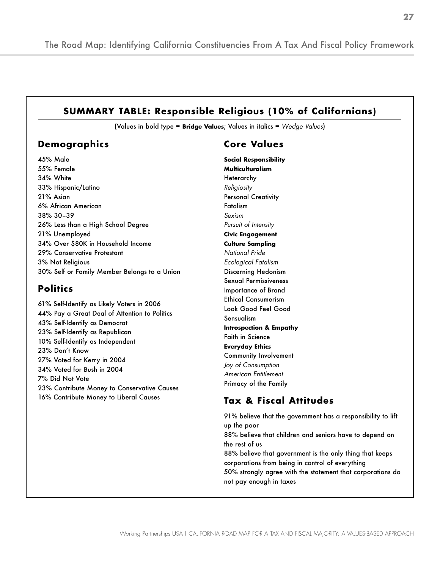#### **SUMMARY TABLE: Responsible Religious (10% of Californians)**

(Values in bold type = **Bridge Values**; Values in italics = *Wedge Values*)

#### **Demographics**

**Core Values Social Responsibility**

45% Male 55% Female 34% White 33% Hispanic/Latino 21% Asian 6% African American 38% 30–39 26% Less than a High School Degree 21% Unemployed 34% Over \$80K in Household Income 29% Conservative Protestant 3% Not Religious 30% Self or Family Member Belongs to a Union

# **Politics**

61% Self-Identify as Likely Voters in 2006 44% Pay a Great Deal of Attention to Politics 43% Self-Identify as Democrat 23% Self-Identify as Republican 10% Self-Identify as Independent 23% Don't Know 27% Voted for Kerry in 2004 34% Voted for Bush in 2004 7% Did Not Vote 23% Contribute Money to Conservative Causes 16% Contribute Money to Liberal Causes

**Multiculturalism** Heterarchy *Religiosity* Personal Creativity Fatalism *Sexism Pursuit of Intensity* **Civic Engagement Culture Sampling** *National Pride Ecological Fatalism* Discerning Hedonism Sexual Permissiveness Importance of Brand Ethical Consumerism Look Good Feel Good Sensualism **Introspection & Empathy** Faith in Science **Everyday Ethics** Community Involvement *Joy of Consumption American Entitlement* Primacy of the Family

# **Tax & Fiscal Attitudes**

91% believe that the government has a responsibility to lift up the poor 88% believe that children and seniors have to depend on the rest of us 88% believe that government is the only thing that keeps corporations from being in control of everything 50% strongly agree with the statement that corporations do not pay enough in taxes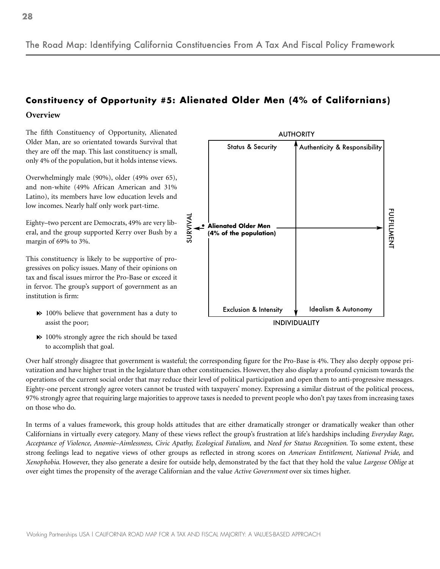# **Constituency of Opportunity #5: Alienated Older Men (4% of Californians)**

#### **Overview**

The fifth Constituency of Opportunity, Alienated Older Man, are so orientated towards Survival that they are off the map. This last constituency is small, only 4% of the population, but it holds intense views.

Overwhelmingly male (90%), older (49% over 65), and non-white (49% African American and 31% Latino), its members have low education levels and low incomes. Nearly half only work part-time.

Eighty–two percent are Democrats, 49% are very liberal, and the group supported Kerry over Bush by a margin of 69% to 3%.

This constituency is likely to be supportive of progressives on policy issues. Many of their opinions on tax and fiscal issues mirror the Pro-Base or exceed it in fervor. The group's support of government as an institution is firm:

 $\triangleright$  100% believe that government has a duty to assist the poor;



INDIVIDUALITY

 $\triangleright$  100% strongly agree the rich should be taxed to accomplish that goal.

Over half strongly disagree that government is wasteful; the corresponding figure for the Pro-Base is 4%. They also deeply oppose privatization and have higher trust in the legislature than other constituencies. However, they also display a profound cynicism towards the operations of the current social order that may reduce their level of political participation and open them to anti-progressive messages. Eighty-one percent strongly agree voters cannot be trusted with taxpayers' money. Expressing a similar distrust of the political process, 97% strongly agree that requiring large majorities to approve taxes is needed to prevent people who don't pay taxes from increasing taxes on those who do.

In terms of a values framework, this group holds attitudes that are either dramatically stronger or dramatically weaker than other Californians in virtually every category. Many of these views reflect the group's frustration at life's hardships including *Everyday Rage, Acceptance of Violence, Anomie–Aimlessness, Civic Apathy, Ecological Fatalism,* and *Need for Status Recognition*. To some extent, these strong feelings lead to negative views of other groups as reflected in strong scores on *American Entitlement, National Pride*, and *Xenophobia*. However, they also generate a desire for outside help, demonstrated by the fact that they hold the value *Largesse Oblige* at over eight times the propensity of the average Californian and the value *Active Government* over six times higher.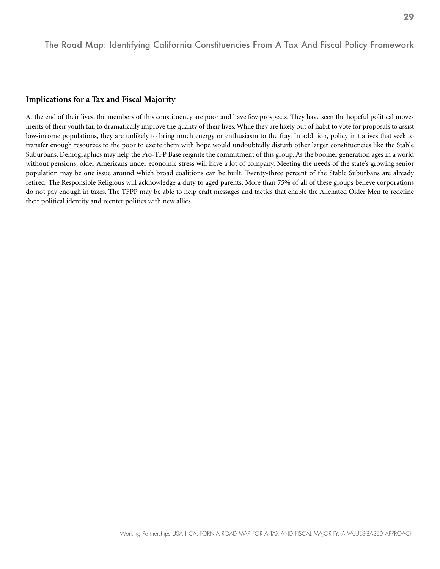#### **Implications for a Tax and Fiscal Majority**

At the end of their lives, the members of this constituency are poor and have few prospects. They have seen the hopeful political movements of their youth fail to dramatically improve the quality of their lives. While they are likely out of habit to vote for proposals to assist low-income populations, they are unlikely to bring much energy or enthusiasm to the fray. In addition, policy initiatives that seek to transfer enough resources to the poor to excite them with hope would undoubtedly disturb other larger constituencies like the Stable Suburbans. Demographics may help the Pro-TFP Base reignite the commitment of this group. As the boomer generation ages in a world without pensions, older Americans under economic stress will have a lot of company. Meeting the needs of the state's growing senior population may be one issue around which broad coalitions can be built. Twenty-three percent of the Stable Suburbans are already retired. The Responsible Religious will acknowledge a duty to aged parents. More than 75% of all of these groups believe corporations do not pay enough in taxes. The TFPP may be able to help craft messages and tactics that enable the Alienated Older Men to redefine their political identity and reenter politics with new allies.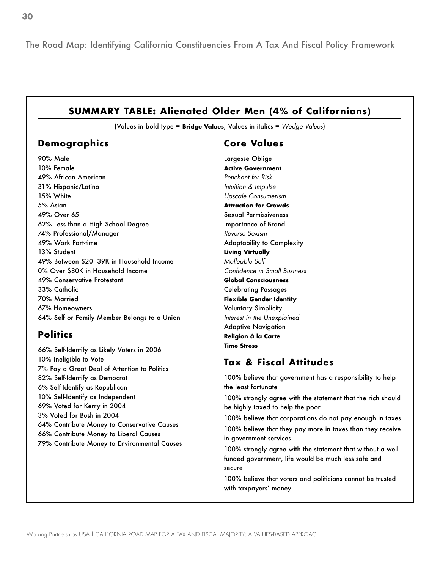# **SUMMARY TABLE: Alienated Older Men (4% of Californians)**

(Values in bold type = **Bridge Values**; Values in italics = *Wedge Values*)

# **Demographics**

# **Core Values**

90% Male 10% Female 49% African American 31% Hispanic/Latino 15% White 5% Asian 49% Over 65 62% Less than a High School Degree 74% Professional/Manager 49% Work Part-time 13% Student 49% Between \$20–39K in Household Income 0% Over \$80K in Household Income 49% Conservative Protestant 33% Catholic 70% Married 67% Homeowners 64% Self or Family Member Belongs to a Union

# **Politics**

66% Self-Identify as Likely Voters in 2006 10% Ineligible to Vote 7% Pay a Great Deal of Attention to Politics 82% Self-Identify as Democrat 6% Self-Identify as Republican 10% Self-Identify as Independent 69% Voted for Kerry in 2004 3% Voted for Bush in 2004 64% Contribute Money to Conservative Causes 66% Contribute Money to Liberal Causes 79% Contribute Money to Environmental Causes Largesse Oblige **Active Government** *Penchant for Risk Intuition & Impulse Upscale Consumerism* **Attraction for Crowds** Sexual Permissiveness Importance of Brand *Reverse Sexism* Adaptability to Complexity **Living Virtually** *Malleable Self Confidence in Small Business* **Global Consciousness** Celebrating Passages **Flexible Gender Identity** Voluntary Simplicity *Interest in the Unexplained* Adaptive Navigation **Religion á la Carte Time Stress**

# **Tax & Fiscal Attitudes**

100% believe that government has a responsibility to help the least fortunate

100% strongly agree with the statement that the rich should be highly taxed to help the poor

100% believe that corporations do not pay enough in taxes

100% believe that they pay more in taxes than they receive in government services

100% strongly agree with the statement that without a wellfunded government, life would be much less safe and secure

100% believe that voters and politicians cannot be trusted with taxpayers' money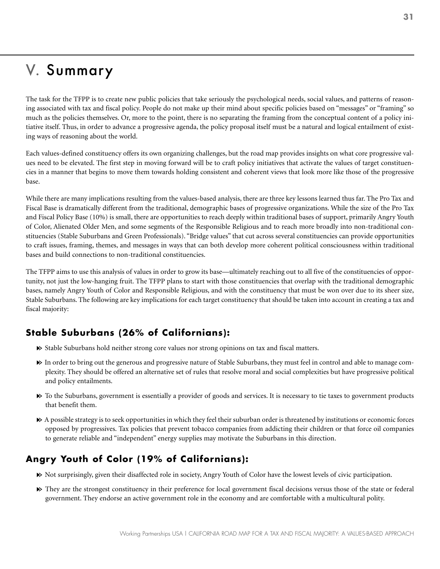# V. Summary

The task for the TFPP is to create new public policies that take seriously the psychological needs, social values, and patterns of reasoning associated with tax and fiscal policy. People do not make up their mind about specific policies based on "messages" or "framing" so much as the policies themselves. Or, more to the point, there is no separating the framing from the conceptual content of a policy initiative itself. Thus, in order to advance a progressive agenda, the policy proposal itself must be a natural and logical entailment of existing ways of reasoning about the world.

Each values-defined constituency offers its own organizing challenges, but the road map provides insights on what core progressive values need to be elevated. The first step in moving forward will be to craft policy initiatives that activate the values of target constituencies in a manner that begins to move them towards holding consistent and coherent views that look more like those of the progressive base.

While there are many implications resulting from the values-based analysis, there are three key lessons learned thus far. The Pro Tax and Fiscal Base is dramatically different from the traditional, demographic bases of progressive organizations. While the size of the Pro Tax and Fiscal Policy Base (10%) is small, there are opportunities to reach deeply within traditional bases of support, primarily Angry Youth of Color, Alienated Older Men, and some segments of the Responsible Religious and to reach more broadly into non-traditional constituencies (Stable Suburbans and Green Professionals). "Bridge values" that cut across several constituencies can provide opportunities to craft issues, framing, themes, and messages in ways that can both develop more coherent political consciousness within traditional bases and build connections to non-traditional constituencies.

The TFPP aims to use this analysis of values in order to grow its base—ultimately reaching out to all five of the constituencies of opportunity, not just the low-hanging fruit. The TFPP plans to start with those constituencies that overlap with the traditional demographic bases, namely Angry Youth of Color and Responsible Religious, and with the constituency that must be won over due to its sheer size, Stable Suburbans. The following are key implications for each target constituency that should be taken into account in creating a tax and fiscal majority:

# **Stable Suburbans (26% of Californians):**

- $\triangleright$  Stable Suburbans hold neither strong core values nor strong opinions on tax and fiscal matters.
- $\triangleright$  In order to bring out the generous and progressive nature of Stable Suburbans, they must feel in control and able to manage complexity. They should be offered an alternative set of rules that resolve moral and social complexities but have progressive political and policy entailments.
- $\triangleright$  To the Suburbans, government is essentially a provider of goods and services. It is necessary to tie taxes to government products that benefit them.
- $\triangleright$  A possible strategy is to seek opportunities in which they feel their suburban order is threatened by institutions or economic forces opposed by progressives. Tax policies that prevent tobacco companies from addicting their children or that force oil companies to generate reliable and "independent" energy supplies may motivate the Suburbans in this direction.

# **Angry Youth of Color (19% of Californians):**

- $\triangleright$  Not surprisingly, given their disaffected role in society, Angry Youth of Color have the lowest levels of civic participation.
- $\triangleright$  They are the strongest constituency in their preference for local government fiscal decisions versus those of the state or federal government. They endorse an active government role in the economy and are comfortable with a multicultural polity.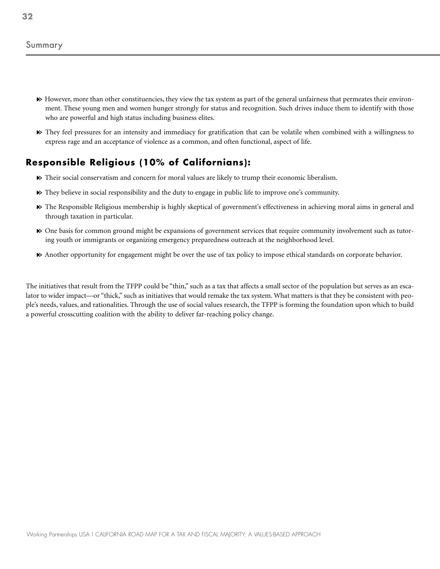- $\triangleright$  However, more than other constituencies, they view the tax system as part of the general unfairness that permeates their environment. These young men and women hunger strongly for status and recognition. Such drives induce them to identify with those who are powerful and high status including business elites.
- $\triangleright$  They feel pressures for an intensity and immediacy for gratification that can be volatile when combined with a willingness to express rage and an acceptance of violence as a common, and often functional, aspect of life.

# **Responsible Religious (10% of Californians):**

- $\triangleright$  Their social conservatism and concern for moral values are likely to trump their economic liberalism.
- $\triangleright$  They believe in social responsibility and the duty to engage in public life to improve one's community.
- $\triangleright$  The Responsible Religious membership is highly skeptical of government's effectiveness in achieving moral aims in general and through taxation in particular.
- $\triangleright$  One basis for common ground might be expansions of government services that require community involvement such as tutoring youth or immigrants or organizing emergency preparedness outreach at the neighborhood level.
- $\triangleright$  Another opportunity for engagement might be over the use of tax policy to impose ethical standards on corporate behavior.

The initiatives that result from the TFPP could be "thin," such as a tax that affects a small sector of the population but serves as an escalator to wider impact—or "thick," such as initiatives that would remake the tax system. What matters is that they be consistent with people's needs, values, and rationalities. Through the use of social values research, the TFPP is forming the foundation upon which to build a powerful crosscutting coalition with the ability to deliver far-reaching policy change.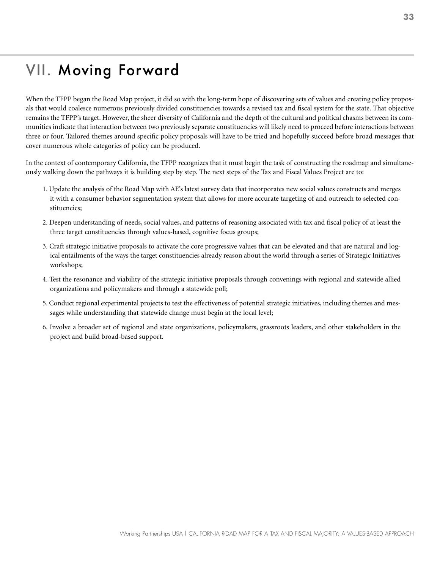# VII. Moving Forward

When the TFPP began the Road Map project, it did so with the long-term hope of discovering sets of values and creating policy proposals that would coalesce numerous previously divided constituencies towards a revised tax and fiscal system for the state. That objective remains the TFPP's target. However, the sheer diversity of California and the depth of the cultural and political chasms between its communities indicate that interaction between two previously separate constituencies will likely need to proceed before interactions between three or four. Tailored themes around specific policy proposals will have to be tried and hopefully succeed before broad messages that cover numerous whole categories of policy can be produced.

In the context of contemporary California, the TFPP recognizes that it must begin the task of constructing the roadmap and simultaneously walking down the pathways it is building step by step. The next steps of the Tax and Fiscal Values Project are to:

- 1. Update the analysis of the Road Map with AE's latest survey data that incorporates new social values constructs and merges it with a consumer behavior segmentation system that allows for more accurate targeting of and outreach to selected constituencies;
- 2. Deepen understanding of needs, social values, and patterns of reasoning associated with tax and fiscal policy of at least the three target constituencies through values-based, cognitive focus groups;
- 3. Craft strategic initiative proposals to activate the core progressive values that can be elevated and that are natural and logical entailments of the ways the target constituencies already reason about the world through a series of Strategic Initiatives workshops;
- 4. Test the resonance and viability of the strategic initiative proposals through convenings with regional and statewide allied organizations and policymakers and through a statewide poll;
- 5. Conduct regional experimental projects to test the effectiveness of potential strategic initiatives, including themes and messages while understanding that statewide change must begin at the local level;
- 6. Involve a broader set of regional and state organizations, policymakers, grassroots leaders, and other stakeholders in the project and build broad-based support.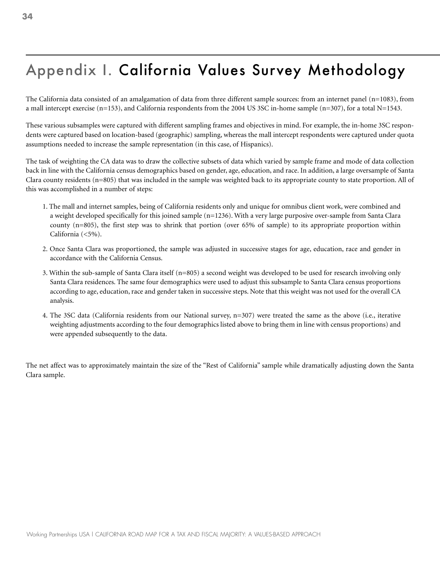# Appendix I. California Values Survey Methodology

The California data consisted of an amalgamation of data from three different sample sources: from an internet panel  $(n=1083)$ , from a mall intercept exercise (n=153), and California respondents from the 2004 US 3SC in-home sample (n=307), for a total N=1543.

These various subsamples were captured with different sampling frames and objectives in mind. For example, the in-home 3SC respondents were captured based on location-based (geographic) sampling, whereas the mall intercept respondents were captured under quota assumptions needed to increase the sample representation (in this case, of Hispanics).

The task of weighting the CA data was to draw the collective subsets of data which varied by sample frame and mode of data collection back in line with the California census demographics based on gender, age, education, and race. In addition, a large oversample of Santa Clara county residents (n=805) that was included in the sample was weighted back to its appropriate county to state proportion. All of this was accomplished in a number of steps:

- 1. The mall and internet samples, being of California residents only and unique for omnibus client work, were combined and a weight developed specifically for this joined sample (n=1236). With a very large purposive over-sample from Santa Clara county (n=805), the first step was to shrink that portion (over 65% of sample) to its appropriate proportion within California (<5%).
- 2. Once Santa Clara was proportioned, the sample was adjusted in successive stages for age, education, race and gender in accordance with the California Census.
- 3. Within the sub-sample of Santa Clara itself (n=805) a second weight was developed to be used for research involving only Santa Clara residences. The same four demographics were used to adjust this subsample to Santa Clara census proportions according to age, education, race and gender taken in successive steps. Note that this weight was not used for the overall CA analysis.
- 4. The 3SC data (California residents from our National survey, n=307) were treated the same as the above (i.e., iterative weighting adjustments according to the four demographics listed above to bring them in line with census proportions) and were appended subsequently to the data.

The net affect was to approximately maintain the size of the "Rest of California" sample while dramatically adjusting down the Santa Clara sample.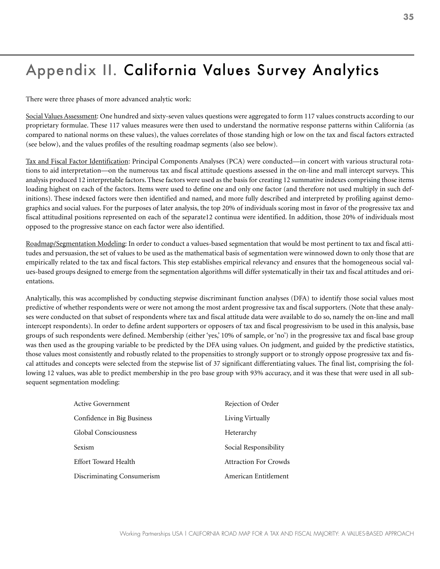# Appendix II. California Values Survey Analytics

There were three phases of more advanced analytic work:

Social Values Assessment: One hundred and sixty-seven values questions were aggregated to form 117 values constructs according to our proprietary formulae. These 117 values measures were then used to understand the normative response patterns within California (as compared to national norms on these values), the values correlates of those standing high or low on the tax and fiscal factors extracted (see below), and the values profiles of the resulting roadmap segments (also see below).

Tax and Fiscal Factor Identification: Principal Components Analyses (PCA) were conducted—in concert with various structural rotations to aid interpretation—on the numerous tax and fiscal attitude questions assessed in the on-line and mall intercept surveys. This analysis produced 12 interpretable factors. These factors were used as the basis for creating 12 summative indexes comprising those items loading highest on each of the factors. Items were used to define one and only one factor (and therefore not used multiply in such definitions). These indexed factors were then identified and named, and more fully described and interpreted by profiling against demographics and social values. For the purposes of later analysis, the top 20% of individuals scoring most in favor of the progressive tax and fiscal attitudinal positions represented on each of the separate12 continua were identified. In addition, those 20% of individuals most opposed to the progressive stance on each factor were also identified.

Roadmap/Segmentation Modeling: In order to conduct a values-based segmentation that would be most pertinent to tax and fiscal attitudes and persuasion, the set of values to be used as the mathematical basis of segmentation were winnowed down to only those that are empirically related to the tax and fiscal factors. This step establishes empirical relevancy and ensures that the homogeneous social values-based groups designed to emerge from the segmentation algorithms will differ systematically in their tax and fiscal attitudes and orientations.

Analytically, this was accomplished by conducting stepwise discriminant function analyses (DFA) to identify those social values most predictive of whether respondents were or were not among the most ardent progressive tax and fiscal supporters. (Note that these analyses were conducted on that subset of respondents where tax and fiscal attitude data were available to do so, namely the on-line and mall intercept respondents). In order to define ardent supporters or opposers of tax and fiscal progressivism to be used in this analysis, base groups of such respondents were defined. Membership (either 'yes,' 10% of sample, or 'no') in the progressive tax and fiscal base group was then used as the grouping variable to be predicted by the DFA using values. On judgment, and guided by the predictive statistics, those values most consistently and robustly related to the propensities to strongly support or to strongly oppose progressive tax and fiscal attitudes and concepts were selected from the stepwise list of 37 significant differentiating values. The final list, comprising the following 12 values, was able to predict membership in the pro base group with 93% accuracy, and it was these that were used in all subsequent segmentation modeling:

| <b>Active Government</b>   | Rejection of Order           |
|----------------------------|------------------------------|
| Confidence in Big Business | Living Virtually             |
| Global Consciousness       | Heterarchy                   |
| Sexism                     | Social Responsibility        |
| Effort Toward Health       | <b>Attraction For Crowds</b> |
| Discriminating Consumerism | American Entitlement         |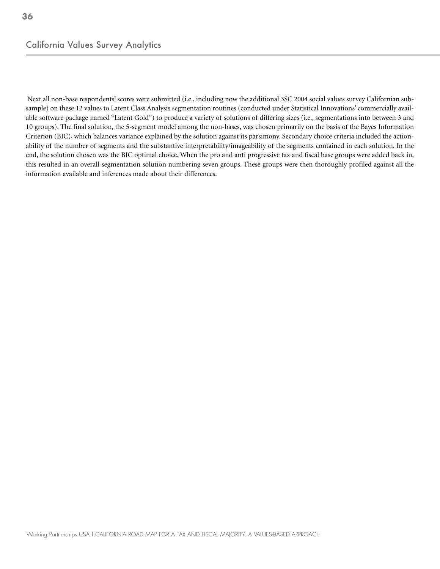### California Values Survey Analytics

Next all non-base respondents' scores were submitted (i.e., including now the additional 3SC 2004 social values survey Californian subsample) on these 12 values to Latent Class Analysis segmentation routines (conducted under Statistical Innovations' commercially available software package named "Latent Gold") to produce a variety of solutions of differing sizes (i.e., segmentations into between 3 and 10 groups). The final solution, the 5-segment model among the non-bases, was chosen primarily on the basis of the Bayes Information Criterion (BIC), which balances variance explained by the solution against its parsimony. Secondary choice criteria included the actionability of the number of segments and the substantive interpretability/imageability of the segments contained in each solution. In the end, the solution chosen was the BIC optimal choice. When the pro and anti progressive tax and fiscal base groups were added back in, this resulted in an overall segmentation solution numbering seven groups. These groups were then thoroughly profiled against all the information available and inferences made about their differences.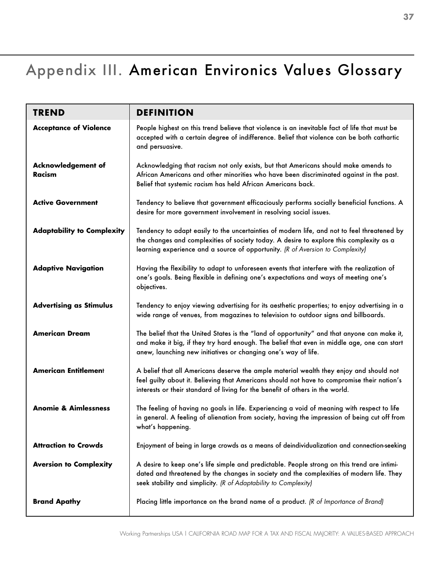# Appendix III. American Environics Values Glossary

| <b>TREND</b>                        | <b>DEFINITION</b>                                                                                                                                                                                                                                                        |
|-------------------------------------|--------------------------------------------------------------------------------------------------------------------------------------------------------------------------------------------------------------------------------------------------------------------------|
| <b>Acceptance of Violence</b>       | People highest on this trend believe that violence is an inevitable fact of life that must be<br>accepted with a certain degree of indifference. Belief that violence can be both cathartic<br>and persuasive.                                                           |
| Acknowledgement of<br><b>Racism</b> | Acknowledging that racism not only exists, but that Americans should make amends to<br>African Americans and other minorities who have been discriminated against in the past.<br>Belief that systemic racism has held African Americans back.                           |
| <b>Active Government</b>            | Tendency to believe that government efficaciously performs socially beneficial functions. A<br>desire for more government involvement in resolving social issues.                                                                                                        |
| <b>Adaptability to Complexity</b>   | Tendency to adapt easily to the uncertainties of modern life, and not to feel threatened by<br>the changes and complexities of society today. A desire to explore this complexity as a<br>learning experience and a source of opportunity. (R of Aversion to Complexity) |
| <b>Adaptive Navigation</b>          | Having the flexibility to adapt to unforeseen events that interfere with the realization of<br>one's goals. Being flexible in defining one's expectations and ways of meeting one's<br>objectives.                                                                       |
| <b>Advertising as Stimulus</b>      | Tendency to enjoy viewing advertising for its aesthetic properties; to enjoy advertising in a<br>wide range of venues, from magazines to television to outdoor signs and billboards.                                                                                     |
| <b>American Dream</b>               | The belief that the United States is the "land of opportunity" and that anyone can make it,<br>and make it big, if they try hard enough. The belief that even in middle age, one can start<br>anew, launching new initiatives or changing one's way of life.             |
| <b>American Entitlement</b>         | A belief that all Americans deserve the ample material wealth they enjoy and should not<br>feel guilty about it. Believing that Americans should not have to compromise their nation's<br>interests or their standard of living for the benefit of others in the world.  |
| <b>Anomie &amp; Aimlessness</b>     | The feeling of having no goals in life. Experiencing a void of meaning with respect to life<br>in general. A feeling of alienation from society, having the impression of being cut off from<br>what's happening.                                                        |
| <b>Attraction to Crowds</b>         | Enjoyment of being in large crowds as a means of deindividualization and connection-seeking                                                                                                                                                                              |
| <b>Aversion to Complexity</b>       | A desire to keep one's life simple and predictable. People strong on this trend are intimi-<br>dated and threatened by the changes in society and the complexities of modern life. They<br>seek stability and simplicity. (R of Adaptability to Complexity)              |
| <b>Brand Apathy</b>                 | Placing little importance on the brand name of a product. (R of Importance of Brand)                                                                                                                                                                                     |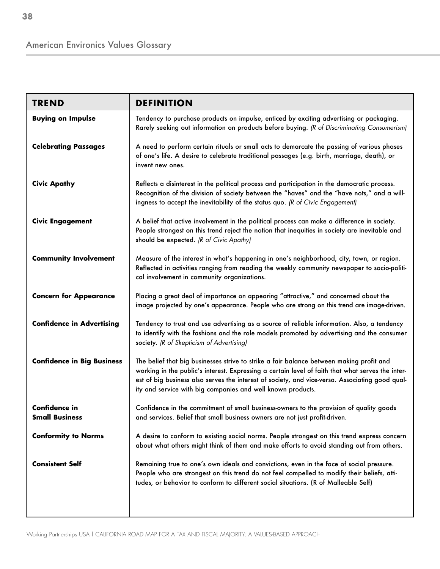| <b>TREND</b>                                  | <b>DEFINITION</b>                                                                                                                                                                                                                                                                                                                                               |
|-----------------------------------------------|-----------------------------------------------------------------------------------------------------------------------------------------------------------------------------------------------------------------------------------------------------------------------------------------------------------------------------------------------------------------|
| <b>Buying on Impulse</b>                      | Tendency to purchase products on impulse, enticed by exciting advertising or packaging.<br>Rarely seeking out information on products before buying. (R of Discriminating Consumerism)                                                                                                                                                                          |
| <b>Celebrating Passages</b>                   | A need to perform certain rituals or small acts to demarcate the passing of various phases<br>of one's life. A desire to celebrate traditional passages (e.g. birth, marriage, death), or<br>invent new ones.                                                                                                                                                   |
| <b>Civic Apathy</b>                           | Reflects a disinterest in the political process and participation in the democratic process.<br>Recognition of the division of society between the "haves" and the "have nots," and a will-<br>ingness to accept the inevitability of the status quo. (R of Civic Engagement)                                                                                   |
| <b>Civic Engagement</b>                       | A belief that active involvement in the political process can make a difference in society.<br>People strongest on this trend reject the notion that inequities in society are inevitable and<br>should be expected. (R of Civic Apathy)                                                                                                                        |
| <b>Community Involvement</b>                  | Measure of the interest in what's happening in one's neighborhood, city, town, or region.<br>Reflected in activities ranging from reading the weekly community newspaper to socio-politi-<br>cal involvement in community organizations.                                                                                                                        |
| <b>Concern for Appearance</b>                 | Placing a great deal of importance on appearing "attractive," and concerned about the<br>image projected by one's appearance. People who are strong on this trend are image-driven.                                                                                                                                                                             |
| <b>Confidence in Advertising</b>              | Tendency to trust and use advertising as a source of reliable information. Also, a tendency<br>to identify with the fashions and the role models promoted by advertising and the consumer<br>society. (R of Skepticism of Advertising)                                                                                                                          |
| <b>Confidence in Big Business</b>             | The belief that big businesses strive to strike a fair balance between making profit and<br>working in the public's interest. Expressing a certain level of faith that what serves the inter-<br>est of big business also serves the interest of society, and vice-versa. Associating good qual-<br>ity and service with big companies and well known products. |
| <b>Confidence in</b><br><b>Small Business</b> | Confidence in the commitment of small business-owners to the provision of quality goods<br>and services. Belief that small business owners are not just profit-driven.                                                                                                                                                                                          |
| <b>Conformity to Norms</b>                    | A desire to conform to existing social norms. People strongest on this trend express concern<br>about what others might think of them and make efforts to avoid standing out from others.                                                                                                                                                                       |
| <b>Consistent Self</b>                        | Remaining true to one's own ideals and convictions, even in the face of social pressure.<br>People who are strongest on this trend do not feel compelled to modify their beliefs, atti-<br>tudes, or behavior to conform to different social situations. (R of Malleable Self)                                                                                  |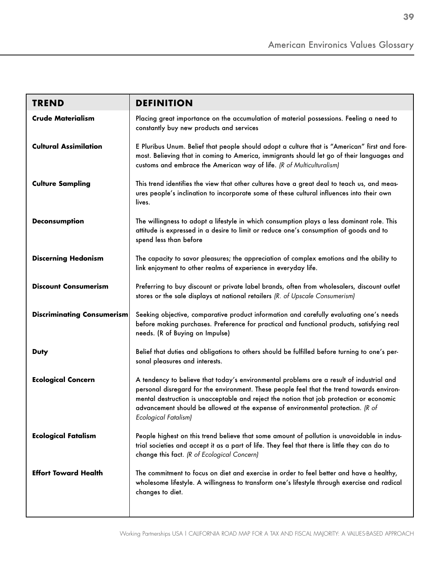| <b>TREND</b>                      | <b>DEFINITION</b>                                                                                                                                                                                                                                                                                                                                                                            |
|-----------------------------------|----------------------------------------------------------------------------------------------------------------------------------------------------------------------------------------------------------------------------------------------------------------------------------------------------------------------------------------------------------------------------------------------|
|                                   |                                                                                                                                                                                                                                                                                                                                                                                              |
| <b>Crude Materialism</b>          | Placing great importance on the accumulation of material possessions. Feeling a need to<br>constantly buy new products and services                                                                                                                                                                                                                                                          |
| <b>Cultural Assimilation</b>      | E Pluribus Unum. Belief that people should adopt a culture that is "American" first and fore-<br>most. Believing that in coming to America, immigrants should let go of their languages and<br>customs and embrace the American way of life. (R of Multiculturalism)                                                                                                                         |
| <b>Culture Sampling</b>           | This trend identifies the view that other cultures have a great deal to teach us, and meas-<br>ures people's inclination to incorporate some of these cultural influences into their own<br>lives.                                                                                                                                                                                           |
| <b>Deconsumption</b>              | The willingness to adopt a lifestyle in which consumption plays a less dominant role. This<br>attitude is expressed in a desire to limit or reduce one's consumption of goods and to<br>spend less than before                                                                                                                                                                               |
| <b>Discerning Hedonism</b>        | The capacity to savor pleasures; the appreciation of complex emotions and the ability to<br>link enjoyment to other realms of experience in everyday life.                                                                                                                                                                                                                                   |
| <b>Discount Consumerism</b>       | Preferring to buy discount or private label brands, often from wholesalers, discount outlet<br>stores or the sale displays at national retailers (R. of Upscale Consumerism)                                                                                                                                                                                                                 |
| <b>Discriminating Consumerism</b> | Seeking objective, comparative product information and carefully evaluating one's needs<br>before making purchases. Preference for practical and functional products, satisfying real<br>needs. (R of Buying on Impulse)                                                                                                                                                                     |
| <b>Duty</b>                       | Belief that duties and obligations to others should be fulfilled before turning to one's per-<br>sonal pleasures and interests.                                                                                                                                                                                                                                                              |
| <b>Ecological Concern</b>         | A tendency to believe that today's environmental problems are a result of industrial and<br>personal disregard for the environment. These people feel that the trend towards environ-<br>mental destruction is unacceptable and reject the notion that job protection or economic<br>advancement should be allowed at the expense of environmental protection. (R of<br>Ecological Fatalism) |
| <b>Ecological Fatalism</b>        | People highest on this trend believe that some amount of pollution is unavoidable in indus-<br>trial societies and accept it as a part of life. They feel that there is little they can do to<br>change this fact. (R of Ecological Concern)                                                                                                                                                 |
| <b>Effort Toward Health</b>       | The commitment to focus on diet and exercise in order to feel better and have a healthy,<br>wholesome lifestyle. A willingness to transform one's lifestyle through exercise and radical<br>changes to diet.                                                                                                                                                                                 |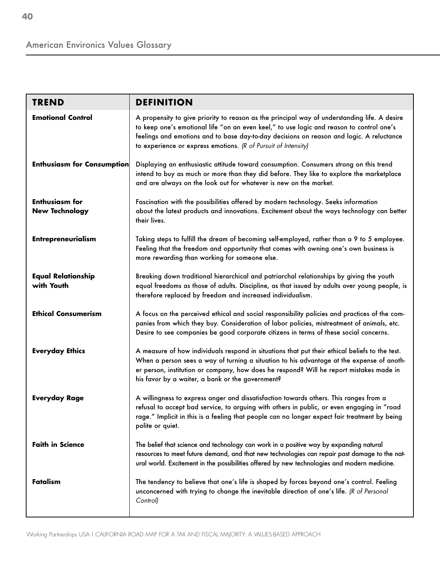| <b>TREND</b>                                   | <b>DEFINITION</b>                                                                                                                                                                                                                                                                                                                                      |
|------------------------------------------------|--------------------------------------------------------------------------------------------------------------------------------------------------------------------------------------------------------------------------------------------------------------------------------------------------------------------------------------------------------|
| <b>Emotional Control</b>                       | A propensity to give priority to reason as the principal way of understanding life. A desire<br>to keep one's emotional life "on an even keel," to use logic and reason to control one's<br>feelings and emotions and to base day-to-day decisions on reason and logic. A reluctance<br>to experience or express emotions. (R of Pursuit of Intensity) |
| <b>Enthusiasm for Consumption</b>              | Displaying an enthusiastic attitude toward consumption. Consumers strong on this trend<br>intend to buy as much or more than they did before. They like to explore the marketplace<br>and are always on the look out for whatever is new on the market.                                                                                                |
| <b>Enthusiasm for</b><br><b>New Technology</b> | Fascination with the possibilities offered by modern technology. Seeks information<br>about the latest products and innovations. Excitement about the ways technology can better<br>their lives.                                                                                                                                                       |
| <b>Entrepreneurialism</b>                      | Taking steps to fulfill the dream of becoming self-employed, rather than a 9 to 5 employee.<br>Feeling that the freedom and opportunity that comes with owning one's own business is<br>more rewarding than working for someone else.                                                                                                                  |
| <b>Equal Relationship</b><br>with Youth        | Breaking down traditional hierarchical and patriarchal relationships by giving the youth<br>equal freedoms as those of adults. Discipline, as that issued by adults over young people, is<br>therefore replaced by freedom and increased individualism.                                                                                                |
| <b>Ethical Consumerism</b>                     | A focus on the perceived ethical and social responsibility policies and practices of the com-<br>panies from which they buy. Consideration of labor policies, mistreatment of animals, etc.<br>Desire to see companies be good corporate citizens in terms of these social concerns.                                                                   |
| <b>Everyday Ethics</b>                         | A measure of how individuals respond in situations that put their ethical beliefs to the test.<br>When a person sees a way of turning a situation to his advantage at the expense of anoth-<br>er person, institution or company, how does he respond? Will he report mistakes made in<br>his favor by a waiter, a bank or the government?             |
| <b>Everyday Rage</b>                           | A willingness to express anger and dissatisfaction towards others. This ranges from a<br>refusal to accept bad service, to arguing with others in public, or even engaging in "road<br>rage." Implicit in this is a feeling that people can no longer expect fair treatment by being<br>polite or quiet.                                               |
| <b>Faith in Science</b>                        | The belief that science and technology can work in a positive way by expanding natural<br>resources to meet future demand, and that new technologies can repair past damage to the nat-<br>ural world. Excitement in the possibilities offered by new technologies and modern medicine.                                                                |
| Fatalism                                       | The tendency to believe that one's life is shaped by forces beyond one's control. Feeling<br>unconcerned with trying to change the inevitable direction of one's life. (R of Personal<br>Control)                                                                                                                                                      |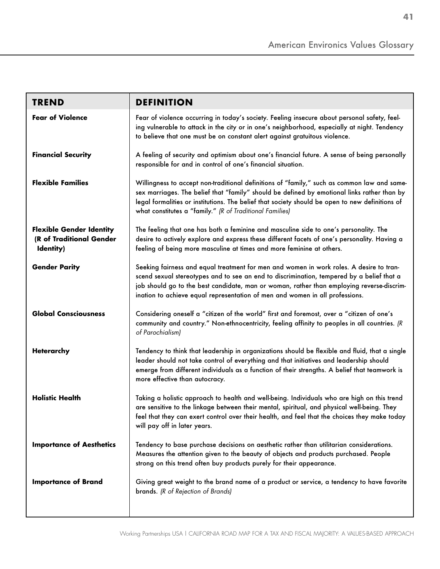| <b>TREND</b>                                                             | <b>DEFINITION</b>                                                                                                                                                                                                                                                                                                                                                 |
|--------------------------------------------------------------------------|-------------------------------------------------------------------------------------------------------------------------------------------------------------------------------------------------------------------------------------------------------------------------------------------------------------------------------------------------------------------|
| <b>Fear of Violence</b>                                                  | Fear of violence occurring in today's society. Feeling insecure about personal safety, feel-<br>ing vulnerable to attack in the city or in one's neighborhood, especially at night. Tendency<br>to believe that one must be on constant alert against gratuitous violence.                                                                                        |
| <b>Financial Security</b>                                                | A feeling of security and optimism about one's financial future. A sense of being personally<br>responsible for and in control of one's financial situation.                                                                                                                                                                                                      |
| <b>Flexible Families</b>                                                 | Willingness to accept non-traditional definitions of "family," such as common law and same-<br>sex marriages. The belief that "family" should be defined by emotional links rather than by<br>legal formalities or institutions. The belief that society should be open to new definitions of<br>what constitutes a "family." (R of Traditional Families)         |
| <b>Flexible Gender Identity</b><br>(R of Traditional Gender<br>Identity) | The feeling that one has both a feminine and masculine side to one's personality. The<br>desire to actively explore and express these different facets of one's personality. Having a<br>feeling of being more masculine at times and more feminine at others.                                                                                                    |
| <b>Gender Parity</b>                                                     | Seeking fairness and equal treatment for men and women in work roles. A desire to tran-<br>scend sexual stereotypes and to see an end to discrimination, tempered by a belief that a<br>job should go to the best candidate, man or woman, rather than employing reverse-discrim-<br>ination to achieve equal representation of men and women in all professions. |
| <b>Global Consciousness</b>                                              | Considering oneself a "citizen of the world" first and foremost, over a "citizen of one's<br>community and country." Non-ethnocentricity, feeling affinity to peoples in all countries. (R<br>of Parochialism)                                                                                                                                                    |
| <b>Heterarchy</b>                                                        | Tendency to think that leadership in organizations should be flexible and fluid, that a single<br>leader should not take control of everything and that initiatives and leadership should<br>emerge from different individuals as a function of their strengths. A belief that teamwork is<br>more effective than autocracy.                                      |
| <b>Holistic Health</b>                                                   | Taking a holistic approach to health and well-being. Individuals who are high on this trend<br>are sensitive to the linkage between their mental, spiritual, and physical well-being. They<br>feel that they can exert control over their health, and feel that the choices they make today<br>will pay off in later years.                                       |
| <b>Importance of Aesthetics</b>                                          | Tendency to base purchase decisions on aesthetic rather than utilitarian considerations.<br>Measures the attention given to the beauty of objects and products purchased. People<br>strong on this trend often buy products purely for their appearance.                                                                                                          |
| <b>Importance of Brand</b>                                               | Giving great weight to the brand name of a product or service, a tendency to have favorite<br><b>brands.</b> (R of Rejection of Brands)                                                                                                                                                                                                                           |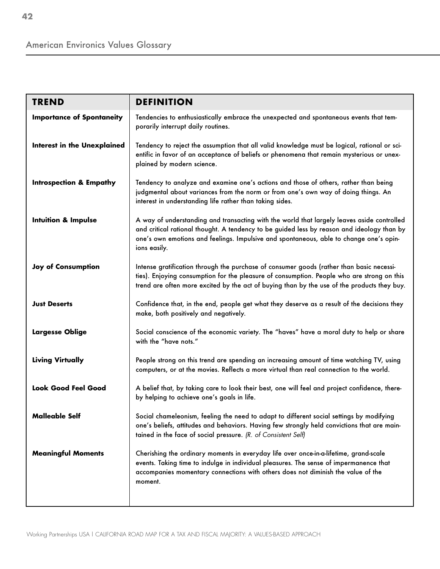| <b>TREND</b>                       | <b>DEFINITION</b>                                                                                                                                                                                                                                                                                  |
|------------------------------------|----------------------------------------------------------------------------------------------------------------------------------------------------------------------------------------------------------------------------------------------------------------------------------------------------|
| <b>Importance of Spontaneity</b>   | Tendencies to enthusiastically embrace the unexpected and spontaneous events that tem-<br>porarily interrupt daily routines.                                                                                                                                                                       |
| <b>Interest in the Unexplained</b> | Tendency to reject the assumption that all valid knowledge must be logical, rational or sci-<br>entific in favor of an acceptance of beliefs or phenomena that remain mysterious or unex-<br>plained by modern science.                                                                            |
| <b>Introspection &amp; Empathy</b> | Tendency to analyze and examine one's actions and those of others, rather than being<br>judgmental about variances from the norm or from one's own way of doing things. An<br>interest in understanding life rather than taking sides.                                                             |
| <b>Intuition &amp; Impulse</b>     | A way of understanding and transacting with the world that largely leaves aside controlled<br>and critical rational thought. A tendency to be guided less by reason and ideology than by<br>one's own emotions and feelings. Impulsive and spontaneous, able to change one's opin-<br>ions easily. |
| <b>Joy of Consumption</b>          | Intense gratification through the purchase of consumer goods (rather than basic necessi-<br>ties). Enjoying consumption for the pleasure of consumption. People who are strong on this<br>trend are often more excited by the act of buying than by the use of the products they buy.              |
| <b>Just Deserts</b>                | Confidence that, in the end, people get what they deserve as a result of the decisions they<br>make, both positively and negatively.                                                                                                                                                               |
| <b>Largesse Oblige</b>             | Social conscience of the economic variety. The "haves" have a moral duty to help or share<br>with the "have nots."                                                                                                                                                                                 |
| <b>Living Virtually</b>            | People strong on this trend are spending an increasing amount of time watching TV, using<br>computers, or at the movies. Reflects a more virtual than real connection to the world.                                                                                                                |
| <b>Look Good Feel Good</b>         | A belief that, by taking care to look their best, one will feel and project confidence, there-<br>by helping to achieve one's goals in life.                                                                                                                                                       |
| Malleable Self                     | Social chameleonism, feeling the need to adapt to different social settings by modifying<br>one's beliefs, attitudes and behaviors. Having few strongly held convictions that are main-<br>tained in the face of social pressure. (R. of Consistent Self)                                          |
| <b>Meaningful Moments</b>          | Cherishing the ordinary moments in everyday life over once-in-a-lifetime, grand-scale<br>events. Taking time to indulge in individual pleasures. The sense of impermanence that<br>accompanies momentary connections with others does not diminish the value of the<br>moment.                     |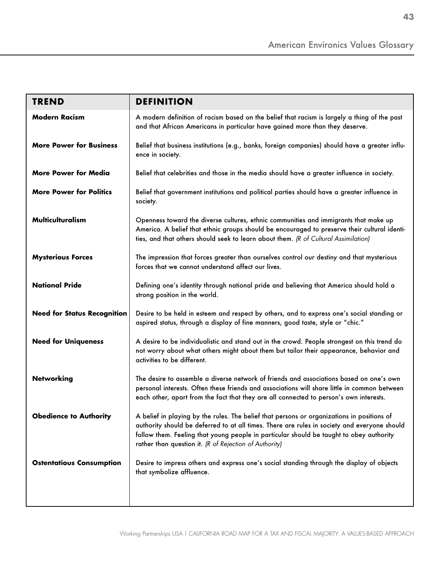| <b>TREND</b>                       | <b>DEFINITION</b>                                                                                                                                                                                                                                                                                                                               |
|------------------------------------|-------------------------------------------------------------------------------------------------------------------------------------------------------------------------------------------------------------------------------------------------------------------------------------------------------------------------------------------------|
| <b>Modern Racism</b>               | A modern definition of racism based on the belief that racism is largely a thing of the past<br>and that African Americans in particular have gained more than they deserve.                                                                                                                                                                    |
| <b>More Power for Business</b>     | Belief that business institutions (e.g., banks, foreign companies) should have a greater influ-<br>ence in society.                                                                                                                                                                                                                             |
| <b>More Power for Media</b>        | Belief that celebrities and those in the media should have a greater influence in society.                                                                                                                                                                                                                                                      |
| <b>More Power for Politics</b>     | Belief that government institutions and political parties should have a greater influence in<br>society.                                                                                                                                                                                                                                        |
| <b>Multiculturalism</b>            | Openness toward the diverse cultures, ethnic communities and immigrants that make up<br>America. A belief that ethnic groups should be encouraged to preserve their cultural identi-<br>ties, and that others should seek to learn about them. (R of Cultural Assimilation)                                                                     |
| <b>Mysterious Forces</b>           | The impression that forces greater than ourselves control our destiny and that mysterious<br>forces that we cannot understand affect our lives.                                                                                                                                                                                                 |
| <b>National Pride</b>              | Defining one's identity through national pride and believing that America should hold a<br>strong position in the world.                                                                                                                                                                                                                        |
| <b>Need for Status Recognition</b> | Desire to be held in esteem and respect by others, and to express one's social standing or<br>aspired status, through a display of fine manners, good taste, style or "chic."                                                                                                                                                                   |
| <b>Need for Uniqueness</b>         | A desire to be individualistic and stand out in the crowd. People strongest on this trend do<br>not worry about what others might about them but tailor their appearance, behavior and<br>activities to be different.                                                                                                                           |
| <b>Networking</b>                  | The desire to assemble a diverse network of friends and associations based on one's own<br>personal interests. Often these friends and associations will share little in common between<br>each other, apart from the fact that they are all connected to person's own interests.                                                               |
| <b>Obedience to Authority</b>      | A belief in playing by the rules. The belief that persons or organizations in positions of<br>authority should be deferred to at all times. There are rules in society and everyone should<br>follow them. Feeling that young people in particular should be taught to obey authority<br>rather than question it. (R of Rejection of Authority) |
| <b>Ostentatious Consumption</b>    | Desire to impress others and express one's social standing through the display of objects<br>that symbolize affluence.                                                                                                                                                                                                                          |
|                                    |                                                                                                                                                                                                                                                                                                                                                 |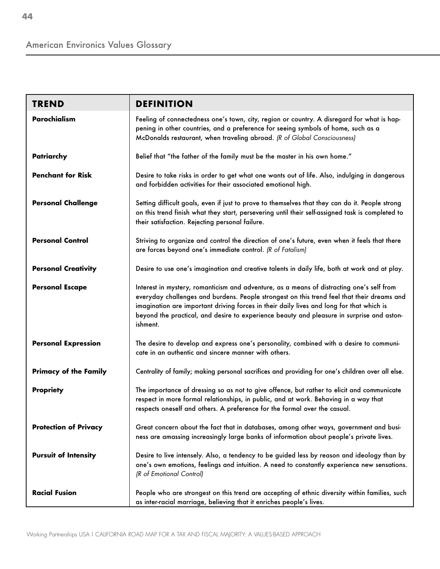| <b>TREND</b>                 | <b>DEFINITION</b>                                                                                                                                                                                                                                                                                                                                                                            |
|------------------------------|----------------------------------------------------------------------------------------------------------------------------------------------------------------------------------------------------------------------------------------------------------------------------------------------------------------------------------------------------------------------------------------------|
| <b>Parochialism</b>          | Feeling of connectedness one's town, city, region or country. A disregard for what is hap-<br>pening in other countries, and a preference for seeing symbols of home, such as a<br>McDonalds restaurant, when traveling abroad. (R of Global Consciousness)                                                                                                                                  |
| Patriarchy                   | Belief that "the father of the family must be the master in his own home."                                                                                                                                                                                                                                                                                                                   |
| <b>Penchant for Risk</b>     | Desire to take risks in order to get what one wants out of life. Also, indulging in dangerous<br>and forbidden activities for their associated emotional high.                                                                                                                                                                                                                               |
| <b>Personal Challenge</b>    | Setting difficult goals, even if just to prove to themselves that they can do it. People strong<br>on this trend finish what they start, persevering until their self-assigned task is completed to<br>their satisfaction. Rejecting personal failure.                                                                                                                                       |
| <b>Personal Control</b>      | Striving to organize and control the direction of one's future, even when it feels that there<br>are forces beyond one's immediate control. (R of Fatalism)                                                                                                                                                                                                                                  |
| <b>Personal Creativity</b>   | Desire to use one's imagination and creative talents in daily life, both at work and at play.                                                                                                                                                                                                                                                                                                |
| <b>Personal Escape</b>       | Interest in mystery, romanticism and adventure, as a means of distracting one's self from<br>everyday challenges and burdens. People strongest on this trend feel that their dreams and<br>imagination are important driving forces in their daily lives and long for that which is<br>beyond the practical, and desire to experience beauty and pleasure in surprise and aston-<br>ishment. |
| <b>Personal Expression</b>   | The desire to develop and express one's personality, combined with a desire to communi-<br>cate in an authentic and sincere manner with others.                                                                                                                                                                                                                                              |
| <b>Primacy of the Family</b> | Centrality of family; making personal sacrifices and providing for one's children over all else.                                                                                                                                                                                                                                                                                             |
| <b>Propriety</b>             | The importance of dressing so as not to give offence, but rather to elicit and communicate<br>respect in more formal relationships, in public, and at work. Behaving in a way that<br>respects oneself and others. A preference for the formal over the casual.                                                                                                                              |
| <b>Protection of Privacy</b> | Great concern about the fact that in databases, among other ways, government and busi-<br>ness are amassing increasingly large banks of information about people's private lives.                                                                                                                                                                                                            |
| <b>Pursuit of Intensity</b>  | Desire to live intensely. Also, a tendency to be guided less by reason and ideology than by<br>one's own emotions, feelings and intuition. A need to constantly experience new sensations.<br>(R of Emotional Control)                                                                                                                                                                       |
| <b>Racial Fusion</b>         | People who are strongest on this trend are accepting of ethnic diversity within families, such<br>as inter-racial marriage, believing that it enriches people's lives.                                                                                                                                                                                                                       |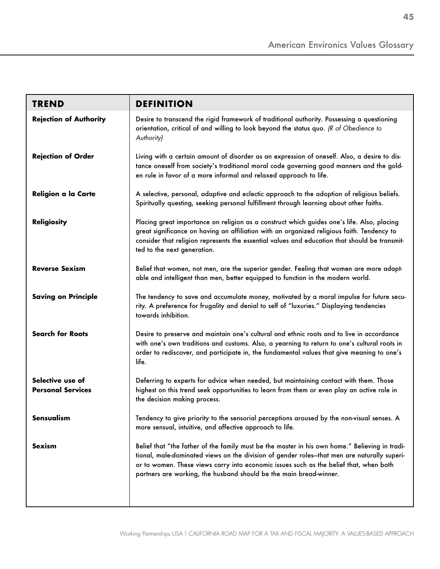| <b>TREND</b>                                 | <b>DEFINITION</b>                                                                                                                                                                                                                                                                                                                                             |
|----------------------------------------------|---------------------------------------------------------------------------------------------------------------------------------------------------------------------------------------------------------------------------------------------------------------------------------------------------------------------------------------------------------------|
| <b>Rejection of Authority</b>                | Desire to transcend the rigid framework of traditional authority. Possessing a questioning<br>orientation, critical of and willing to look beyond the status quo. (R of Obedience to<br>Authority)                                                                                                                                                            |
| <b>Rejection of Order</b>                    | Living with a certain amount of disorder as an expression of oneself. Also, a desire to dis-<br>tance oneself from society's traditional moral code governing good manners and the gold-<br>en rule in favor of a more informal and relaxed approach to life.                                                                                                 |
| Religion a la Carte                          | A selective, personal, adaptive and eclectic approach to the adoption of religious beliefs.<br>Spiritually questing, seeking personal fulfillment through learning about other faiths.                                                                                                                                                                        |
| <b>Religiosity</b>                           | Placing great importance on religion as a construct which guides one's life. Also, placing<br>great significance on having an affiliation with an organized religious faith. Tendency to<br>consider that religion represents the essential values and education that should be transmit-<br>ted to the next generation.                                      |
| <b>Reverse Sexism</b>                        | Belief that women, not men, are the superior gender. Feeling that women are more adapt-<br>able and intelligent than men, better equipped to function in the modern world.                                                                                                                                                                                    |
| <b>Saving on Principle</b>                   | The tendency to save and accumulate money, motivated by a moral impulse for future secu-<br>rity. A preference for frugality and denial to self of "luxuries." Displaying tendencies<br>towards inhibition.                                                                                                                                                   |
| <b>Search for Roots</b>                      | Desire to preserve and maintain one's cultural and ethnic roots and to live in accordance<br>with one's own traditions and customs. Also, a yearning to return to one's cultural roots in<br>order to rediscover, and participate in, the fundamental values that give meaning to one's<br>life.                                                              |
| Selective use of<br><b>Personal Services</b> | Deferring to experts for advice when needed, but maintaining contact with them. Those<br>highest on this trend seek opportunities to learn from them or even play an active role in<br>the decision making process.                                                                                                                                           |
| <b>Sensualism</b>                            | Tendency to give priority to the sensorial perceptions aroused by the non-visual senses. A<br>more sensual, intuitive, and affective approach to life.                                                                                                                                                                                                        |
| <b>Sexism</b>                                | Belief that "the father of the family must be the master in his own home." Believing in tradi-<br>tional, male-dominated views on the division of gender roles-that men are naturally superi-<br>or to women. These views carry into economic issues such as the belief that, when both<br>partners are working, the husband should be the main bread-winner. |
|                                              |                                                                                                                                                                                                                                                                                                                                                               |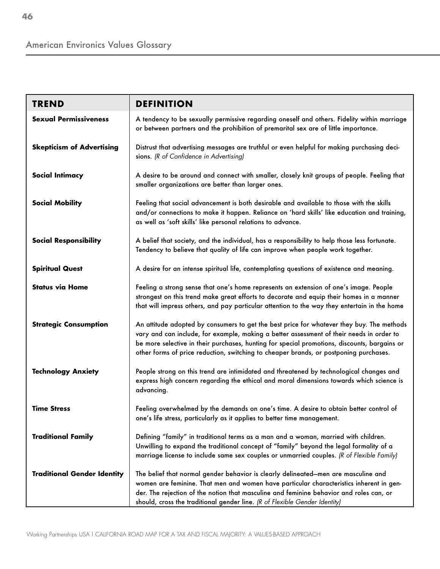| <b>TREND</b>                       | <b>DEFINITION</b>                                                                                                                                                                                                                                                                                                                                                              |
|------------------------------------|--------------------------------------------------------------------------------------------------------------------------------------------------------------------------------------------------------------------------------------------------------------------------------------------------------------------------------------------------------------------------------|
| <b>Sexual Permissiveness</b>       | A tendency to be sexually permissive regarding oneself and others. Fidelity within marriage<br>or between partners and the prohibition of premarital sex are of little importance.                                                                                                                                                                                             |
| <b>Skepticism of Advertising</b>   | Distrust that advertising messages are truthful or even helpful for making purchasing deci-<br>sions. (R of Confidence in Advertising)                                                                                                                                                                                                                                         |
| <b>Social Intimacy</b>             | A desire to be around and connect with smaller, closely knit groups of people. Feeling that<br>smaller organizations are better than larger ones.                                                                                                                                                                                                                              |
| <b>Social Mobility</b>             | Feeling that social advancement is both desirable and available to those with the skills<br>and/or connections to make it happen. Reliance on 'hard skills' like education and training,<br>as well as 'soft skills' like personal relations to advance.                                                                                                                       |
| <b>Social Responsibility</b>       | A belief that society, and the individual, has a responsibility to help those less fortunate.<br>Tendency to believe that quality of life can improve when people work together.                                                                                                                                                                                               |
| <b>Spiritual Quest</b>             | A desire for an intense spiritual life, contemplating questions of existence and meaning.                                                                                                                                                                                                                                                                                      |
| <b>Status via Home</b>             | Feeling a strong sense that one's home represents an extension of one's image. People<br>strongest on this trend make great efforts to decorate and equip their homes in a manner<br>that will impress others, and pay particular attention to the way they entertain in the home                                                                                              |
| <b>Strategic Consumption</b>       | An attitude adopted by consumers to get the best price for whatever they buy. The methods<br>vary and can include, for example, making a better assessment of their needs in order to<br>be more selective in their purchases, hunting for special promotions, discounts, bargains or<br>other forms of price reduction, switching to cheaper brands, or postponing purchases. |
| <b>Technology Anxiety</b>          | People strong on this trend are intimidated and threatened by technological changes and<br>express high concern regarding the ethical and moral dimensions towards which science is<br>advancing.                                                                                                                                                                              |
| <b>Time Stress</b>                 | Feeling overwhelmed by the demands on one's time. A desire to obtain better control of<br>one's life stress, particularly as it applies to better time management.                                                                                                                                                                                                             |
| <b>Traditional Family</b>          | Defining "family" in traditional terms as a man and a woman, married with children.<br>Unwilling to expand the traditional concept of "family" beyond the legal formality of a<br>marriage license to include same sex couples or unmarried couples. (R of Flexible Family)                                                                                                    |
| <b>Traditional Gender Identity</b> | The belief that normal gender behavior is clearly delineated—men are masculine and<br>women are feminine. That men and women have particular characteristics inherent in gen-<br>der. The rejection of the notion that masculine and feminine behavior and roles can, or<br>should, cross the traditional gender line. (R of Flexible Gender Identity)                         |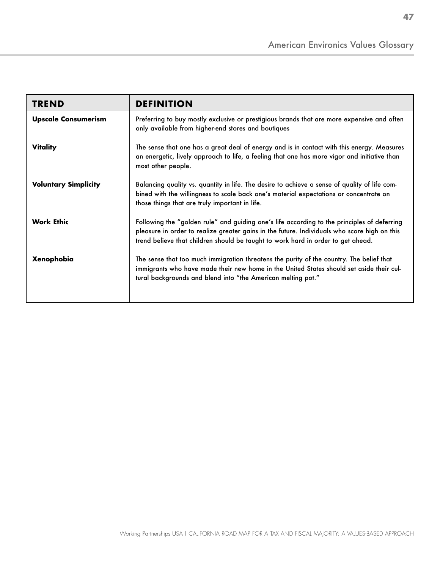| <b>TREND</b>                | <b>DEFINITION</b>                                                                                                                                                                                                                                                               |
|-----------------------------|---------------------------------------------------------------------------------------------------------------------------------------------------------------------------------------------------------------------------------------------------------------------------------|
| <b>Upscale Consumerism</b>  | Preferring to buy mostly exclusive or prestigious brands that are more expensive and often<br>only available from higher-end stores and boutiques                                                                                                                               |
| Vitality                    | The sense that one has a great deal of energy and is in contact with this energy. Measures<br>an energetic, lively approach to life, a feeling that one has more vigor and initiative than<br>most other people.                                                                |
| <b>Voluntary Simplicity</b> | Balancing quality vs. quantity in life. The desire to achieve a sense of quality of life com-<br>bined with the willingness to scale back one's material expectations or concentrate on<br>those things that are truly important in life.                                       |
| <b>Work Ethic</b>           | Following the "golden rule" and guiding one's life according to the principles of deferring<br>pleasure in order to realize greater gains in the future. Individuals who score high on this<br>trend believe that children should be taught to work hard in order to get ahead. |
| Xenophobia                  | The sense that too much immigration threatens the purity of the country. The belief that<br>immigrants who have made their new home in the United States should set aside their cul-<br>tural backgrounds and blend into "the American melting pot."                            |